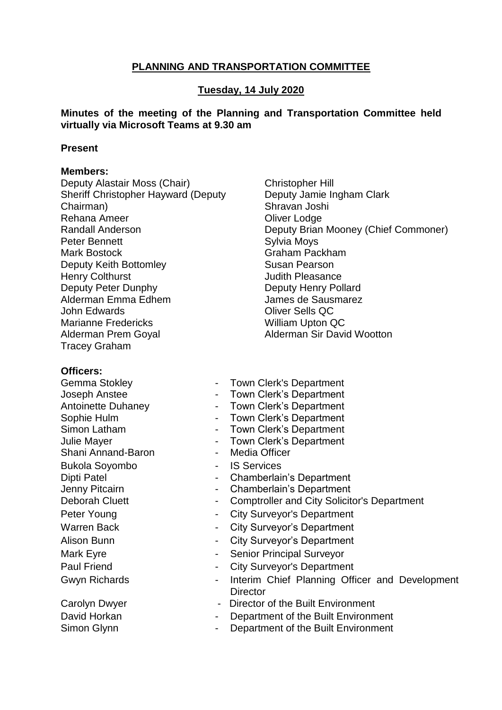# **PLANNING AND TRANSPORTATION COMMITTEE**

#### **Tuesday, 14 July 2020**

#### **Minutes of the meeting of the Planning and Transportation Committee held virtually via Microsoft Teams at 9.30 am**

#### **Present**

#### **Members:**

Deputy Alastair Moss (Chair) Sheriff Christopher Hayward (Deputy Chairman) Rehana Ameer Randall Anderson Peter Bennett Mark Bostock Deputy Keith Bottomley Henry Colthurst Deputy Peter Dunphy Alderman Emma Edhem John Edwards Marianne Fredericks Alderman Prem Goyal Tracey Graham

Christopher Hill Deputy Jamie Ingham Clark Shravan Joshi Oliver Lodge Deputy Brian Mooney (Chief Commoner) Sylvia Moys Graham Packham Susan Pearson Judith Pleasance Deputy Henry Pollard James de Sausmarez Oliver Sells QC William Upton QC Alderman Sir David Wootton

#### **Officers:**

Gemma Stokley Joseph Anstee Antoinette Duhaney Sophie Hulm Simon Latham Julie Mayer Shani Annand-Baron **-** Media Officer Bukola Soyombo Dipti Patel Jenny Pitcairn

David Horkan Simon Glynn

- Town Clerk's Department
- Town Clerk's Department
- Town Clerk's Department
- Town Clerk's Department
- Town Clerk's Department
- Town Clerk's Department
- 
- IS Services
- Chamberlain's Department
- Chamberlain's Department
- Deborah Cluett Comptroller and City Solicitor's Department
- Peter Young  **City Surveyor's Department**
- Warren Back  **City Surveyor's Department**
- Alison Bunn **Alison Bunn** City Surveyor's Department
- Mark Eyre **Mark Eyre 19 No. 2012** Senior Principal Surveyor
- Paul Friend **Paul Friend City Surveyor's Department**
- Gwyn Richards  **Interim Chief Planning Officer and Development Director**
- Carolyn Dwyer  **Director of the Built Environment** 
	- Department of the Built Environment
	- Department of the Built Environment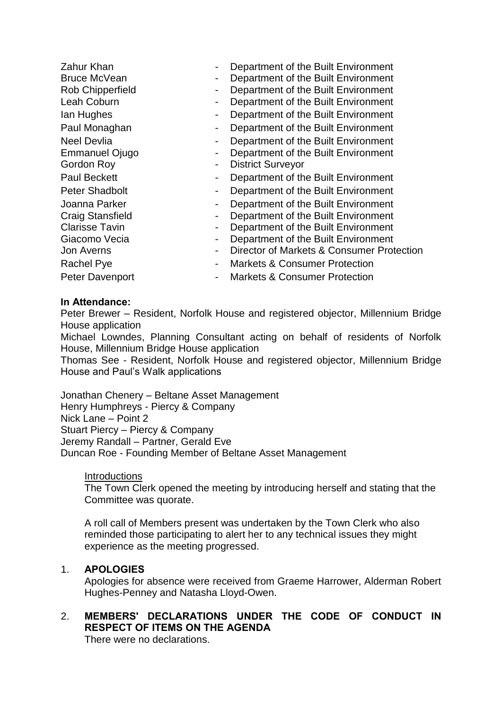| Zahur Khan<br><b>Bruce McVean</b><br>Rob Chipperfield<br>Leah Coburn<br>lan Hughes<br>Paul Monaghan<br>Neel Devlia<br><b>Emmanuel Ojugo</b><br>Gordon Roy<br><b>Paul Beckett</b><br><b>Peter Shadbolt</b> | -<br>-<br>-<br>$\blacksquare$<br>$\blacksquare$<br>$\qquad \qquad \blacksquare$ | Department of the Built Environment<br>Department of the Built Environment<br>Department of the Built Environment<br>Department of the Built Environment<br>Department of the Built Environment<br>Department of the Built Environment<br>Department of the Built Environment<br>Department of the Built Environment<br><b>District Surveyor</b><br>Department of the Built Environment<br>Department of the Built Environment |
|-----------------------------------------------------------------------------------------------------------------------------------------------------------------------------------------------------------|---------------------------------------------------------------------------------|--------------------------------------------------------------------------------------------------------------------------------------------------------------------------------------------------------------------------------------------------------------------------------------------------------------------------------------------------------------------------------------------------------------------------------|
| Joanna Parker<br><b>Craig Stansfield</b><br><b>Clarisse Tavin</b><br>Giacomo Vecia<br>Jon Averns<br>Rachel Pye<br><b>Peter Davenport</b>                                                                  | $\qquad \qquad \blacksquare$                                                    | Department of the Built Environment<br>Department of the Built Environment<br>Department of the Built Environment<br>Department of the Built Environment<br>Director of Markets & Consumer Protection<br><b>Markets &amp; Consumer Protection</b><br><b>Markets &amp; Consumer Protection</b>                                                                                                                                  |

#### **In Attendance:**

Peter Brewer – Resident, Norfolk House and registered objector, Millennium Bridge House application

Michael Lowndes, Planning Consultant acting on behalf of residents of Norfolk House, Millennium Bridge House application

Thomas See - Resident, Norfolk House and registered objector, Millennium Bridge House and Paul's Walk applications

Jonathan Chenery – Beltane Asset Management Henry Humphreys - Piercy & Company Nick Lane – Point 2 Stuart Piercy – Piercy & Company Jeremy Randall – Partner, Gerald Eve Duncan Roe - Founding Member of Beltane Asset Management

#### **Introductions**

The Town Clerk opened the meeting by introducing herself and stating that the Committee was quorate.

A roll call of Members present was undertaken by the Town Clerk who also reminded those participating to alert her to any technical issues they might experience as the meeting progressed.

## 1. **APOLOGIES**

Apologies for absence were received from Graeme Harrower, Alderman Robert Hughes-Penney and Natasha Lloyd-Owen.

# 2. **MEMBERS' DECLARATIONS UNDER THE CODE OF CONDUCT IN RESPECT OF ITEMS ON THE AGENDA**

There were no declarations.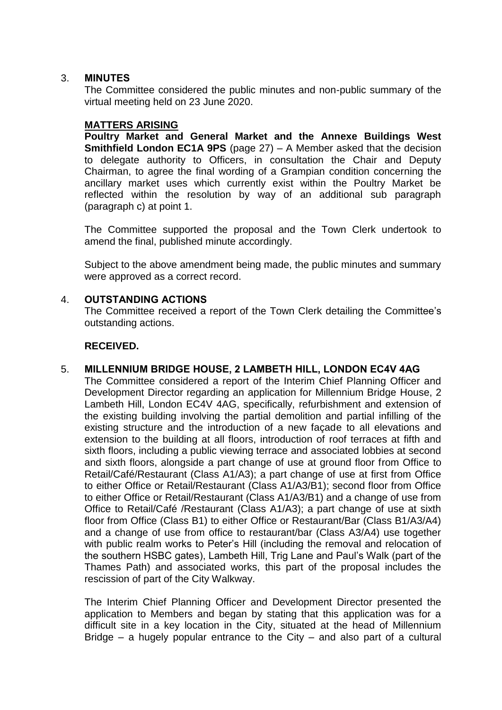#### 3. **MINUTES**

The Committee considered the public minutes and non-public summary of the virtual meeting held on 23 June 2020.

#### **MATTERS ARISING**

**Poultry Market and General Market and the Annexe Buildings West Smithfield London EC1A 9PS** (page 27) – A Member asked that the decision to delegate authority to Officers, in consultation the Chair and Deputy Chairman, to agree the final wording of a Grampian condition concerning the ancillary market uses which currently exist within the Poultry Market be reflected within the resolution by way of an additional sub paragraph (paragraph c) at point 1.

The Committee supported the proposal and the Town Clerk undertook to amend the final, published minute accordingly.

Subject to the above amendment being made, the public minutes and summary were approved as a correct record.

#### 4. **OUTSTANDING ACTIONS**

The Committee received a report of the Town Clerk detailing the Committee's outstanding actions.

## **RECEIVED.**

## 5. **MILLENNIUM BRIDGE HOUSE, 2 LAMBETH HILL, LONDON EC4V 4AG**

The Committee considered a report of the Interim Chief Planning Officer and Development Director regarding an application for Millennium Bridge House, 2 Lambeth Hill, London EC4V 4AG, specifically, refurbishment and extension of the existing building involving the partial demolition and partial infilling of the existing structure and the introduction of a new façade to all elevations and extension to the building at all floors, introduction of roof terraces at fifth and sixth floors, including a public viewing terrace and associated lobbies at second and sixth floors, alongside a part change of use at ground floor from Office to Retail/Café/Restaurant (Class A1/A3); a part change of use at first from Office to either Office or Retail/Restaurant (Class A1/A3/B1); second floor from Office to either Office or Retail/Restaurant (Class A1/A3/B1) and a change of use from Office to Retail/Café /Restaurant (Class A1/A3); a part change of use at sixth floor from Office (Class B1) to either Office or Restaurant/Bar (Class B1/A3/A4) and a change of use from office to restaurant/bar (Class A3/A4) use together with public realm works to Peter's Hill (including the removal and relocation of the southern HSBC gates), Lambeth Hill, Trig Lane and Paul's Walk (part of the Thames Path) and associated works, this part of the proposal includes the rescission of part of the City Walkway.

The Interim Chief Planning Officer and Development Director presented the application to Members and began by stating that this application was for a difficult site in a key location in the City, situated at the head of Millennium Bridge – a hugely popular entrance to the City – and also part of a cultural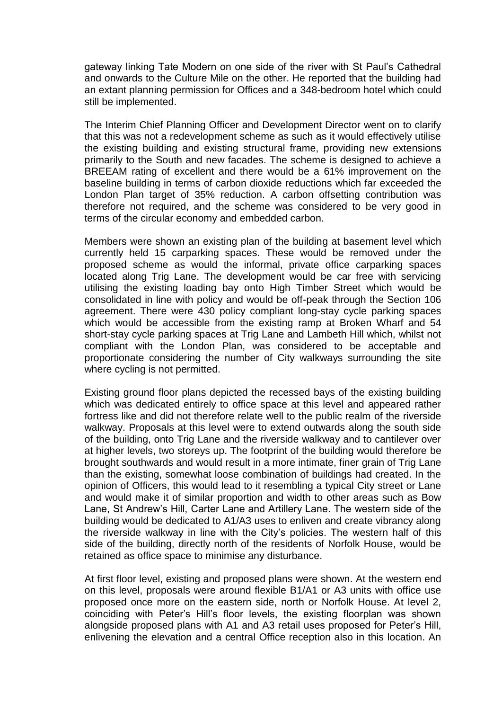gateway linking Tate Modern on one side of the river with St Paul's Cathedral and onwards to the Culture Mile on the other. He reported that the building had an extant planning permission for Offices and a 348-bedroom hotel which could still be implemented.

The Interim Chief Planning Officer and Development Director went on to clarify that this was not a redevelopment scheme as such as it would effectively utilise the existing building and existing structural frame, providing new extensions primarily to the South and new facades. The scheme is designed to achieve a BREEAM rating of excellent and there would be a 61% improvement on the baseline building in terms of carbon dioxide reductions which far exceeded the London Plan target of 35% reduction. A carbon offsetting contribution was therefore not required, and the scheme was considered to be very good in terms of the circular economy and embedded carbon.

Members were shown an existing plan of the building at basement level which currently held 15 carparking spaces. These would be removed under the proposed scheme as would the informal, private office carparking spaces located along Trig Lane. The development would be car free with servicing utilising the existing loading bay onto High Timber Street which would be consolidated in line with policy and would be off-peak through the Section 106 agreement. There were 430 policy compliant long-stay cycle parking spaces which would be accessible from the existing ramp at Broken Wharf and 54 short-stay cycle parking spaces at Trig Lane and Lambeth Hill which, whilst not compliant with the London Plan, was considered to be acceptable and proportionate considering the number of City walkways surrounding the site where cycling is not permitted.

Existing ground floor plans depicted the recessed bays of the existing building which was dedicated entirely to office space at this level and appeared rather fortress like and did not therefore relate well to the public realm of the riverside walkway. Proposals at this level were to extend outwards along the south side of the building, onto Trig Lane and the riverside walkway and to cantilever over at higher levels, two storeys up. The footprint of the building would therefore be brought southwards and would result in a more intimate, finer grain of Trig Lane than the existing, somewhat loose combination of buildings had created. In the opinion of Officers, this would lead to it resembling a typical City street or Lane and would make it of similar proportion and width to other areas such as Bow Lane, St Andrew's Hill, Carter Lane and Artillery Lane. The western side of the building would be dedicated to A1/A3 uses to enliven and create vibrancy along the riverside walkway in line with the City's policies. The western half of this side of the building, directly north of the residents of Norfolk House, would be retained as office space to minimise any disturbance.

At first floor level, existing and proposed plans were shown. At the western end on this level, proposals were around flexible B1/A1 or A3 units with office use proposed once more on the eastern side, north or Norfolk House. At level 2, coinciding with Peter's Hill's floor levels, the existing floorplan was shown alongside proposed plans with A1 and A3 retail uses proposed for Peter's Hill, enlivening the elevation and a central Office reception also in this location. An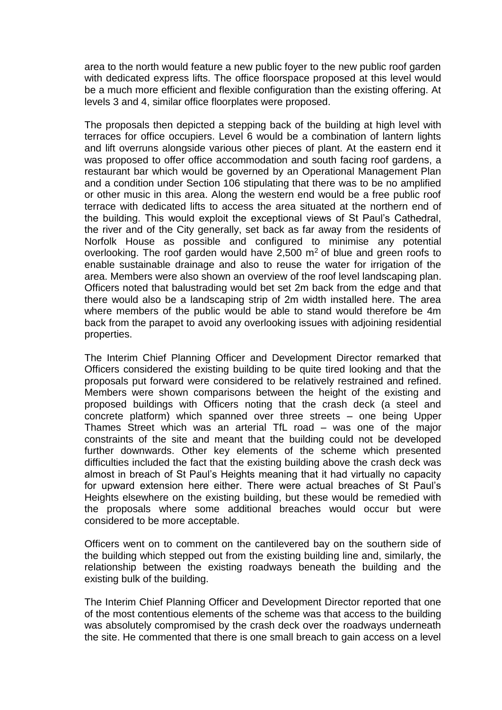area to the north would feature a new public foyer to the new public roof garden with dedicated express lifts. The office floorspace proposed at this level would be a much more efficient and flexible configuration than the existing offering. At levels 3 and 4, similar office floorplates were proposed.

The proposals then depicted a stepping back of the building at high level with terraces for office occupiers. Level 6 would be a combination of lantern lights and lift overruns alongside various other pieces of plant. At the eastern end it was proposed to offer office accommodation and south facing roof gardens, a restaurant bar which would be governed by an Operational Management Plan and a condition under Section 106 stipulating that there was to be no amplified or other music in this area. Along the western end would be a free public roof terrace with dedicated lifts to access the area situated at the northern end of the building. This would exploit the exceptional views of St Paul's Cathedral, the river and of the City generally, set back as far away from the residents of Norfolk House as possible and configured to minimise any potential overlooking. The roof garden would have  $2,500$  m<sup>2</sup> of blue and green roofs to enable sustainable drainage and also to reuse the water for irrigation of the area. Members were also shown an overview of the roof level landscaping plan. Officers noted that balustrading would bet set 2m back from the edge and that there would also be a landscaping strip of 2m width installed here. The area where members of the public would be able to stand would therefore be 4m back from the parapet to avoid any overlooking issues with adjoining residential properties.

The Interim Chief Planning Officer and Development Director remarked that Officers considered the existing building to be quite tired looking and that the proposals put forward were considered to be relatively restrained and refined. Members were shown comparisons between the height of the existing and proposed buildings with Officers noting that the crash deck (a steel and concrete platform) which spanned over three streets – one being Upper Thames Street which was an arterial TfL road – was one of the major constraints of the site and meant that the building could not be developed further downwards. Other key elements of the scheme which presented difficulties included the fact that the existing building above the crash deck was almost in breach of St Paul's Heights meaning that it had virtually no capacity for upward extension here either. There were actual breaches of St Paul's Heights elsewhere on the existing building, but these would be remedied with the proposals where some additional breaches would occur but were considered to be more acceptable.

Officers went on to comment on the cantilevered bay on the southern side of the building which stepped out from the existing building line and, similarly, the relationship between the existing roadways beneath the building and the existing bulk of the building.

The Interim Chief Planning Officer and Development Director reported that one of the most contentious elements of the scheme was that access to the building was absolutely compromised by the crash deck over the roadways underneath the site. He commented that there is one small breach to gain access on a level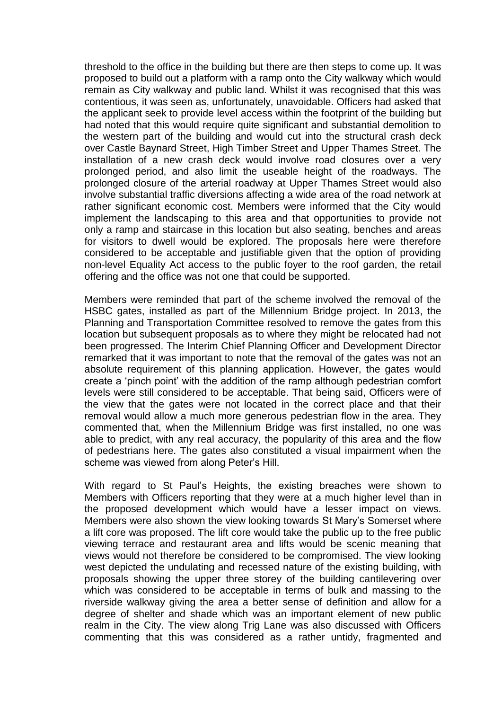threshold to the office in the building but there are then steps to come up. It was proposed to build out a platform with a ramp onto the City walkway which would remain as City walkway and public land. Whilst it was recognised that this was contentious, it was seen as, unfortunately, unavoidable. Officers had asked that the applicant seek to provide level access within the footprint of the building but had noted that this would require quite significant and substantial demolition to the western part of the building and would cut into the structural crash deck over Castle Baynard Street, High Timber Street and Upper Thames Street. The installation of a new crash deck would involve road closures over a very prolonged period, and also limit the useable height of the roadways. The prolonged closure of the arterial roadway at Upper Thames Street would also involve substantial traffic diversions affecting a wide area of the road network at rather significant economic cost. Members were informed that the City would implement the landscaping to this area and that opportunities to provide not only a ramp and staircase in this location but also seating, benches and areas for visitors to dwell would be explored. The proposals here were therefore considered to be acceptable and justifiable given that the option of providing non-level Equality Act access to the public foyer to the roof garden, the retail offering and the office was not one that could be supported.

Members were reminded that part of the scheme involved the removal of the HSBC gates, installed as part of the Millennium Bridge project. In 2013, the Planning and Transportation Committee resolved to remove the gates from this location but subsequent proposals as to where they might be relocated had not been progressed. The Interim Chief Planning Officer and Development Director remarked that it was important to note that the removal of the gates was not an absolute requirement of this planning application. However, the gates would create a 'pinch point' with the addition of the ramp although pedestrian comfort levels were still considered to be acceptable. That being said, Officers were of the view that the gates were not located in the correct place and that their removal would allow a much more generous pedestrian flow in the area. They commented that, when the Millennium Bridge was first installed, no one was able to predict, with any real accuracy, the popularity of this area and the flow of pedestrians here. The gates also constituted a visual impairment when the scheme was viewed from along Peter's Hill.

With regard to St Paul's Heights, the existing breaches were shown to Members with Officers reporting that they were at a much higher level than in the proposed development which would have a lesser impact on views. Members were also shown the view looking towards St Mary's Somerset where a lift core was proposed. The lift core would take the public up to the free public viewing terrace and restaurant area and lifts would be scenic meaning that views would not therefore be considered to be compromised. The view looking west depicted the undulating and recessed nature of the existing building, with proposals showing the upper three storey of the building cantilevering over which was considered to be acceptable in terms of bulk and massing to the riverside walkway giving the area a better sense of definition and allow for a degree of shelter and shade which was an important element of new public realm in the City. The view along Trig Lane was also discussed with Officers commenting that this was considered as a rather untidy, fragmented and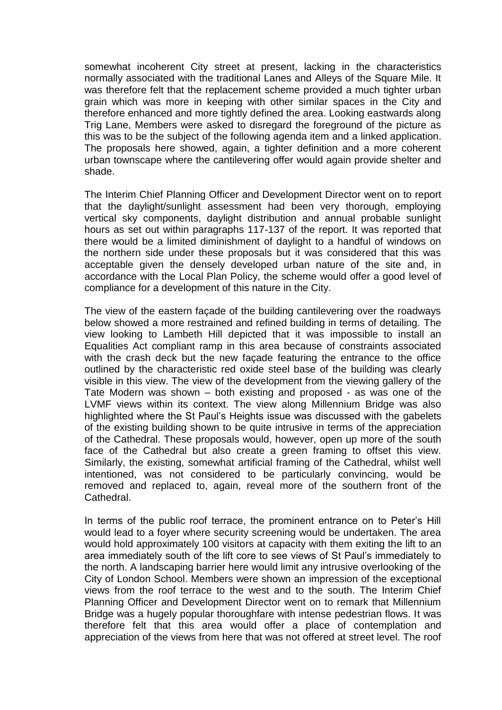somewhat incoherent City street at present, lacking in the characteristics normally associated with the traditional Lanes and Alleys of the Square Mile. It was therefore felt that the replacement scheme provided a much tighter urban grain which was more in keeping with other similar spaces in the City and therefore enhanced and more tightly defined the area. Looking eastwards along Trig Lane, Members were asked to disregard the foreground of the picture as this was to be the subject of the following agenda item and a linked application. The proposals here showed, again, a tighter definition and a more coherent urban townscape where the cantilevering offer would again provide shelter and shade.

The Interim Chief Planning Officer and Development Director went on to report that the daylight/sunlight assessment had been very thorough, employing vertical sky components, daylight distribution and annual probable sunlight hours as set out within paragraphs 117-137 of the report. It was reported that there would be a limited diminishment of daylight to a handful of windows on the northern side under these proposals but it was considered that this was acceptable given the densely developed urban nature of the site and, in accordance with the Local Plan Policy, the scheme would offer a good level of compliance for a development of this nature in the City.

The view of the eastern façade of the building cantilevering over the roadways below showed a more restrained and refined building in terms of detailing. The view looking to Lambeth Hill depicted that it was impossible to install an Equalities Act compliant ramp in this area because of constraints associated with the crash deck but the new façade featuring the entrance to the office outlined by the characteristic red oxide steel base of the building was clearly visible in this view. The view of the development from the viewing gallery of the Tate Modern was shown – both existing and proposed - as was one of the LVMF views within its context. The view along Millennium Bridge was also highlighted where the St Paul's Heights issue was discussed with the gabelets of the existing building shown to be quite intrusive in terms of the appreciation of the Cathedral. These proposals would, however, open up more of the south face of the Cathedral but also create a green framing to offset this view. Similarly, the existing, somewhat artificial framing of the Cathedral, whilst well intentioned, was not considered to be particularly convincing, would be removed and replaced to, again, reveal more of the southern front of the Cathedral.

In terms of the public roof terrace, the prominent entrance on to Peter's Hill would lead to a foyer where security screening would be undertaken. The area would hold approximately 100 visitors at capacity with them exiting the lift to an area immediately south of the lift core to see views of St Paul's immediately to the north. A landscaping barrier here would limit any intrusive overlooking of the City of London School. Members were shown an impression of the exceptional views from the roof terrace to the west and to the south. The Interim Chief Planning Officer and Development Director went on to remark that Millennium Bridge was a hugely popular thoroughfare with intense pedestrian flows. It was therefore felt that this area would offer a place of contemplation and appreciation of the views from here that was not offered at street level. The roof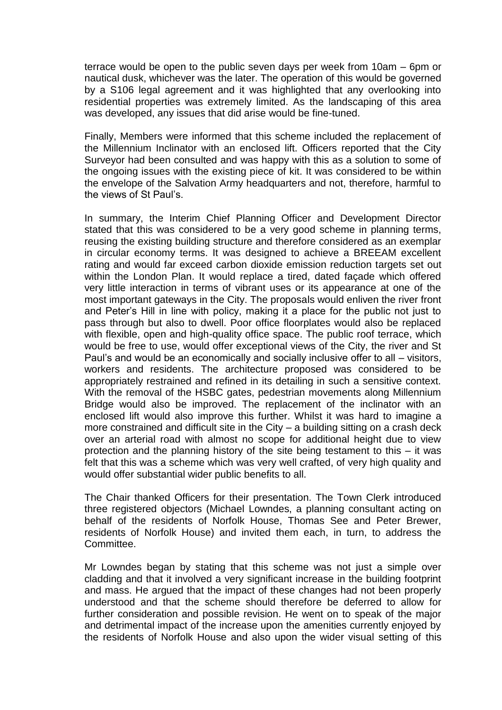terrace would be open to the public seven days per week from 10am – 6pm or nautical dusk, whichever was the later. The operation of this would be governed by a S106 legal agreement and it was highlighted that any overlooking into residential properties was extremely limited. As the landscaping of this area was developed, any issues that did arise would be fine-tuned.

Finally, Members were informed that this scheme included the replacement of the Millennium Inclinator with an enclosed lift. Officers reported that the City Surveyor had been consulted and was happy with this as a solution to some of the ongoing issues with the existing piece of kit. It was considered to be within the envelope of the Salvation Army headquarters and not, therefore, harmful to the views of St Paul's.

In summary, the Interim Chief Planning Officer and Development Director stated that this was considered to be a very good scheme in planning terms, reusing the existing building structure and therefore considered as an exemplar in circular economy terms. It was designed to achieve a BREEAM excellent rating and would far exceed carbon dioxide emission reduction targets set out within the London Plan. It would replace a tired, dated façade which offered very little interaction in terms of vibrant uses or its appearance at one of the most important gateways in the City. The proposals would enliven the river front and Peter's Hill in line with policy, making it a place for the public not just to pass through but also to dwell. Poor office floorplates would also be replaced with flexible, open and high-quality office space. The public roof terrace, which would be free to use, would offer exceptional views of the City, the river and St Paul's and would be an economically and socially inclusive offer to all – visitors, workers and residents. The architecture proposed was considered to be appropriately restrained and refined in its detailing in such a sensitive context. With the removal of the HSBC gates, pedestrian movements along Millennium Bridge would also be improved. The replacement of the inclinator with an enclosed lift would also improve this further. Whilst it was hard to imagine a more constrained and difficult site in the City – a building sitting on a crash deck over an arterial road with almost no scope for additional height due to view protection and the planning history of the site being testament to this – it was felt that this was a scheme which was very well crafted, of very high quality and would offer substantial wider public benefits to all.

The Chair thanked Officers for their presentation. The Town Clerk introduced three registered objectors (Michael Lowndes, a planning consultant acting on behalf of the residents of Norfolk House, Thomas See and Peter Brewer, residents of Norfolk House) and invited them each, in turn, to address the Committee.

Mr Lowndes began by stating that this scheme was not just a simple over cladding and that it involved a very significant increase in the building footprint and mass. He argued that the impact of these changes had not been properly understood and that the scheme should therefore be deferred to allow for further consideration and possible revision. He went on to speak of the major and detrimental impact of the increase upon the amenities currently enjoyed by the residents of Norfolk House and also upon the wider visual setting of this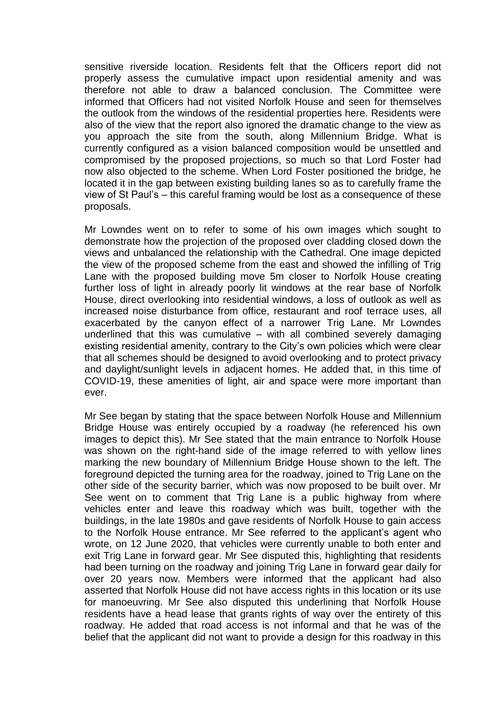sensitive riverside location. Residents felt that the Officers report did not properly assess the cumulative impact upon residential amenity and was therefore not able to draw a balanced conclusion. The Committee were informed that Officers had not visited Norfolk House and seen for themselves the outlook from the windows of the residential properties here. Residents were also of the view that the report also ignored the dramatic change to the view as you approach the site from the south, along Millennium Bridge. What is currently configured as a vision balanced composition would be unsettled and compromised by the proposed projections, so much so that Lord Foster had now also objected to the scheme. When Lord Foster positioned the bridge, he located it in the gap between existing building lanes so as to carefully frame the view of St Paul's – this careful framing would be lost as a consequence of these proposals.

Mr Lowndes went on to refer to some of his own images which sought to demonstrate how the projection of the proposed over cladding closed down the views and unbalanced the relationship with the Cathedral. One image depicted the view of the proposed scheme from the east and showed the infilling of Trig Lane with the proposed building move 5m closer to Norfolk House creating further loss of light in already poorly lit windows at the rear base of Norfolk House, direct overlooking into residential windows, a loss of outlook as well as increased noise disturbance from office, restaurant and roof terrace uses, all exacerbated by the canyon effect of a narrower Trig Lane. Mr Lowndes underlined that this was cumulative  $-$  with all combined severely damaging existing residential amenity, contrary to the City's own policies which were clear that all schemes should be designed to avoid overlooking and to protect privacy and daylight/sunlight levels in adjacent homes. He added that, in this time of COVID-19, these amenities of light, air and space were more important than ever.

Mr See began by stating that the space between Norfolk House and Millennium Bridge House was entirely occupied by a roadway (he referenced his own images to depict this). Mr See stated that the main entrance to Norfolk House was shown on the right-hand side of the image referred to with yellow lines marking the new boundary of Millennium Bridge House shown to the left. The foreground depicted the turning area for the roadway, joined to Trig Lane on the other side of the security barrier, which was now proposed to be built over. Mr See went on to comment that Trig Lane is a public highway from where vehicles enter and leave this roadway which was built, together with the buildings, in the late 1980s and gave residents of Norfolk House to gain access to the Norfolk House entrance. Mr See referred to the applicant's agent who wrote, on 12 June 2020, that vehicles were currently unable to both enter and exit Trig Lane in forward gear. Mr See disputed this, highlighting that residents had been turning on the roadway and joining Trig Lane in forward gear daily for over 20 years now. Members were informed that the applicant had also asserted that Norfolk House did not have access rights in this location or its use for manoeuvring. Mr See also disputed this underlining that Norfolk House residents have a head lease that grants rights of way over the entirety of this roadway. He added that road access is not informal and that he was of the belief that the applicant did not want to provide a design for this roadway in this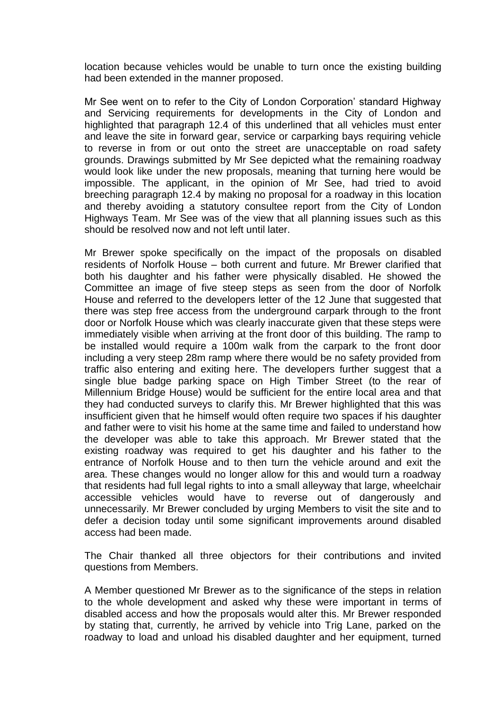location because vehicles would be unable to turn once the existing building had been extended in the manner proposed.

Mr See went on to refer to the City of London Corporation' standard Highway and Servicing requirements for developments in the City of London and highlighted that paragraph 12.4 of this underlined that all vehicles must enter and leave the site in forward gear, service or carparking bays requiring vehicle to reverse in from or out onto the street are unacceptable on road safety grounds. Drawings submitted by Mr See depicted what the remaining roadway would look like under the new proposals, meaning that turning here would be impossible. The applicant, in the opinion of Mr See, had tried to avoid breeching paragraph 12.4 by making no proposal for a roadway in this location and thereby avoiding a statutory consultee report from the City of London Highways Team. Mr See was of the view that all planning issues such as this should be resolved now and not left until later.

Mr Brewer spoke specifically on the impact of the proposals on disabled residents of Norfolk House – both current and future. Mr Brewer clarified that both his daughter and his father were physically disabled. He showed the Committee an image of five steep steps as seen from the door of Norfolk House and referred to the developers letter of the 12 June that suggested that there was step free access from the underground carpark through to the front door or Norfolk House which was clearly inaccurate given that these steps were immediately visible when arriving at the front door of this building. The ramp to be installed would require a 100m walk from the carpark to the front door including a very steep 28m ramp where there would be no safety provided from traffic also entering and exiting here. The developers further suggest that a single blue badge parking space on High Timber Street (to the rear of Millennium Bridge House) would be sufficient for the entire local area and that they had conducted surveys to clarify this. Mr Brewer highlighted that this was insufficient given that he himself would often require two spaces if his daughter and father were to visit his home at the same time and failed to understand how the developer was able to take this approach. Mr Brewer stated that the existing roadway was required to get his daughter and his father to the entrance of Norfolk House and to then turn the vehicle around and exit the area. These changes would no longer allow for this and would turn a roadway that residents had full legal rights to into a small alleyway that large, wheelchair accessible vehicles would have to reverse out of dangerously and unnecessarily. Mr Brewer concluded by urging Members to visit the site and to defer a decision today until some significant improvements around disabled access had been made.

The Chair thanked all three objectors for their contributions and invited questions from Members.

A Member questioned Mr Brewer as to the significance of the steps in relation to the whole development and asked why these were important in terms of disabled access and how the proposals would alter this. Mr Brewer responded by stating that, currently, he arrived by vehicle into Trig Lane, parked on the roadway to load and unload his disabled daughter and her equipment, turned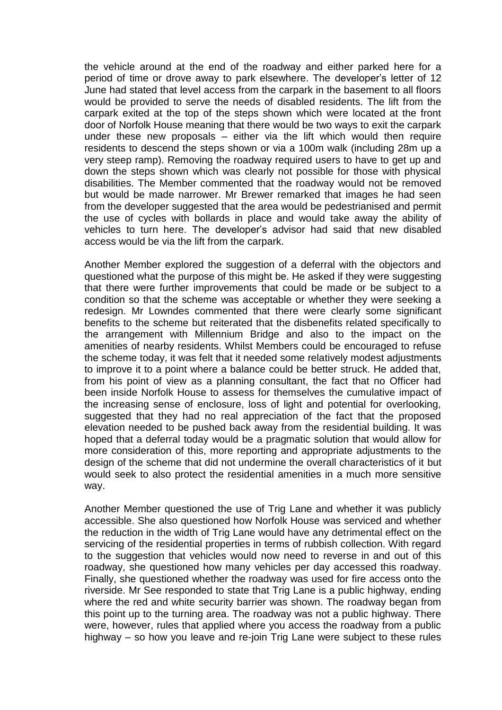the vehicle around at the end of the roadway and either parked here for a period of time or drove away to park elsewhere. The developer's letter of 12 June had stated that level access from the carpark in the basement to all floors would be provided to serve the needs of disabled residents. The lift from the carpark exited at the top of the steps shown which were located at the front door of Norfolk House meaning that there would be two ways to exit the carpark under these new proposals – either via the lift which would then require residents to descend the steps shown or via a 100m walk (including 28m up a very steep ramp). Removing the roadway required users to have to get up and down the steps shown which was clearly not possible for those with physical disabilities. The Member commented that the roadway would not be removed but would be made narrower. Mr Brewer remarked that images he had seen from the developer suggested that the area would be pedestrianised and permit the use of cycles with bollards in place and would take away the ability of vehicles to turn here. The developer's advisor had said that new disabled access would be via the lift from the carpark.

Another Member explored the suggestion of a deferral with the objectors and questioned what the purpose of this might be. He asked if they were suggesting that there were further improvements that could be made or be subject to a condition so that the scheme was acceptable or whether they were seeking a redesign. Mr Lowndes commented that there were clearly some significant benefits to the scheme but reiterated that the disbenefits related specifically to the arrangement with Millennium Bridge and also to the impact on the amenities of nearby residents. Whilst Members could be encouraged to refuse the scheme today, it was felt that it needed some relatively modest adjustments to improve it to a point where a balance could be better struck. He added that, from his point of view as a planning consultant, the fact that no Officer had been inside Norfolk House to assess for themselves the cumulative impact of the increasing sense of enclosure, loss of light and potential for overlooking, suggested that they had no real appreciation of the fact that the proposed elevation needed to be pushed back away from the residential building. It was hoped that a deferral today would be a pragmatic solution that would allow for more consideration of this, more reporting and appropriate adjustments to the design of the scheme that did not undermine the overall characteristics of it but would seek to also protect the residential amenities in a much more sensitive way.

Another Member questioned the use of Trig Lane and whether it was publicly accessible. She also questioned how Norfolk House was serviced and whether the reduction in the width of Trig Lane would have any detrimental effect on the servicing of the residential properties in terms of rubbish collection. With regard to the suggestion that vehicles would now need to reverse in and out of this roadway, she questioned how many vehicles per day accessed this roadway. Finally, she questioned whether the roadway was used for fire access onto the riverside. Mr See responded to state that Trig Lane is a public highway, ending where the red and white security barrier was shown. The roadway began from this point up to the turning area. The roadway was not a public highway. There were, however, rules that applied where you access the roadway from a public highway – so how you leave and re-join Trig Lane were subject to these rules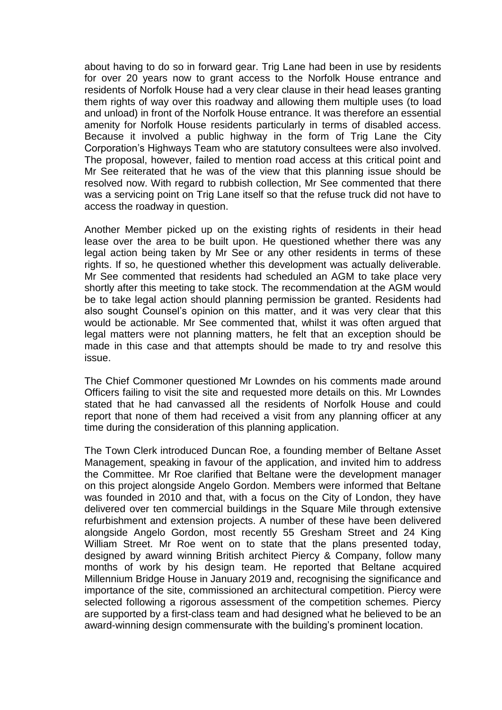about having to do so in forward gear. Trig Lane had been in use by residents for over 20 years now to grant access to the Norfolk House entrance and residents of Norfolk House had a very clear clause in their head leases granting them rights of way over this roadway and allowing them multiple uses (to load and unload) in front of the Norfolk House entrance. It was therefore an essential amenity for Norfolk House residents particularly in terms of disabled access. Because it involved a public highway in the form of Trig Lane the City Corporation's Highways Team who are statutory consultees were also involved. The proposal, however, failed to mention road access at this critical point and Mr See reiterated that he was of the view that this planning issue should be resolved now. With regard to rubbish collection, Mr See commented that there was a servicing point on Trig Lane itself so that the refuse truck did not have to access the roadway in question.

Another Member picked up on the existing rights of residents in their head lease over the area to be built upon. He questioned whether there was any legal action being taken by Mr See or any other residents in terms of these rights. If so, he questioned whether this development was actually deliverable. Mr See commented that residents had scheduled an AGM to take place very shortly after this meeting to take stock. The recommendation at the AGM would be to take legal action should planning permission be granted. Residents had also sought Counsel's opinion on this matter, and it was very clear that this would be actionable. Mr See commented that, whilst it was often argued that legal matters were not planning matters, he felt that an exception should be made in this case and that attempts should be made to try and resolve this issue.

The Chief Commoner questioned Mr Lowndes on his comments made around Officers failing to visit the site and requested more details on this. Mr Lowndes stated that he had canvassed all the residents of Norfolk House and could report that none of them had received a visit from any planning officer at any time during the consideration of this planning application.

The Town Clerk introduced Duncan Roe, a founding member of Beltane Asset Management, speaking in favour of the application, and invited him to address the Committee. Mr Roe clarified that Beltane were the development manager on this project alongside Angelo Gordon. Members were informed that Beltane was founded in 2010 and that, with a focus on the City of London, they have delivered over ten commercial buildings in the Square Mile through extensive refurbishment and extension projects. A number of these have been delivered alongside Angelo Gordon, most recently 55 Gresham Street and 24 King William Street. Mr Roe went on to state that the plans presented today, designed by award winning British architect Piercy & Company, follow many months of work by his design team. He reported that Beltane acquired Millennium Bridge House in January 2019 and, recognising the significance and importance of the site, commissioned an architectural competition. Piercy were selected following a rigorous assessment of the competition schemes. Piercy are supported by a first-class team and had designed what he believed to be an award-winning design commensurate with the building's prominent location.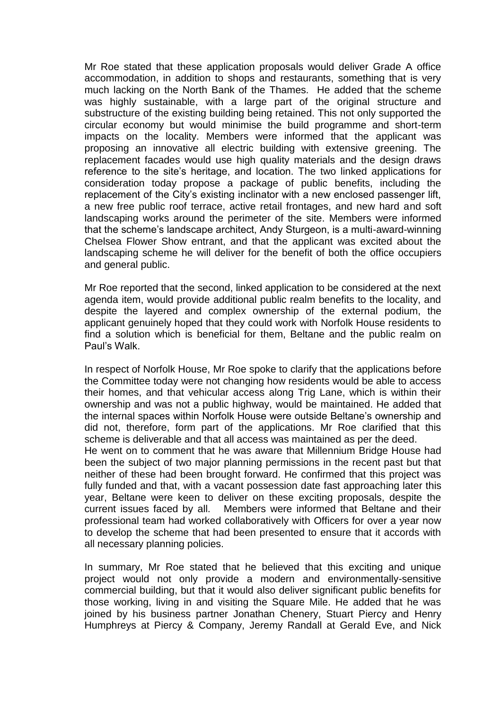Mr Roe stated that these application proposals would deliver Grade A office accommodation, in addition to shops and restaurants, something that is very much lacking on the North Bank of the Thames. He added that the scheme was highly sustainable, with a large part of the original structure and substructure of the existing building being retained. This not only supported the circular economy but would minimise the build programme and short-term impacts on the locality. Members were informed that the applicant was proposing an innovative all electric building with extensive greening. The replacement facades would use high quality materials and the design draws reference to the site's heritage, and location. The two linked applications for consideration today propose a package of public benefits, including the replacement of the City's existing inclinator with a new enclosed passenger lift, a new free public roof terrace, active retail frontages, and new hard and soft landscaping works around the perimeter of the site. Members were informed that the scheme's landscape architect, Andy Sturgeon, is a multi-award-winning Chelsea Flower Show entrant, and that the applicant was excited about the landscaping scheme he will deliver for the benefit of both the office occupiers and general public.

Mr Roe reported that the second, linked application to be considered at the next agenda item, would provide additional public realm benefits to the locality, and despite the layered and complex ownership of the external podium, the applicant genuinely hoped that they could work with Norfolk House residents to find a solution which is beneficial for them, Beltane and the public realm on Paul's Walk.

In respect of Norfolk House, Mr Roe spoke to clarify that the applications before the Committee today were not changing how residents would be able to access their homes, and that vehicular access along Trig Lane, which is within their ownership and was not a public highway, would be maintained. He added that the internal spaces within Norfolk House were outside Beltane's ownership and did not, therefore, form part of the applications. Mr Roe clarified that this scheme is deliverable and that all access was maintained as per the deed.

He went on to comment that he was aware that Millennium Bridge House had been the subject of two major planning permissions in the recent past but that neither of these had been brought forward. He confirmed that this project was fully funded and that, with a vacant possession date fast approaching later this year, Beltane were keen to deliver on these exciting proposals, despite the current issues faced by all. Members were informed that Beltane and their professional team had worked collaboratively with Officers for over a year now to develop the scheme that had been presented to ensure that it accords with all necessary planning policies.

In summary, Mr Roe stated that he believed that this exciting and unique project would not only provide a modern and environmentally-sensitive commercial building, but that it would also deliver significant public benefits for those working, living in and visiting the Square Mile. He added that he was joined by his business partner Jonathan Chenery, Stuart Piercy and Henry Humphreys at Piercy & Company, Jeremy Randall at Gerald Eve, and Nick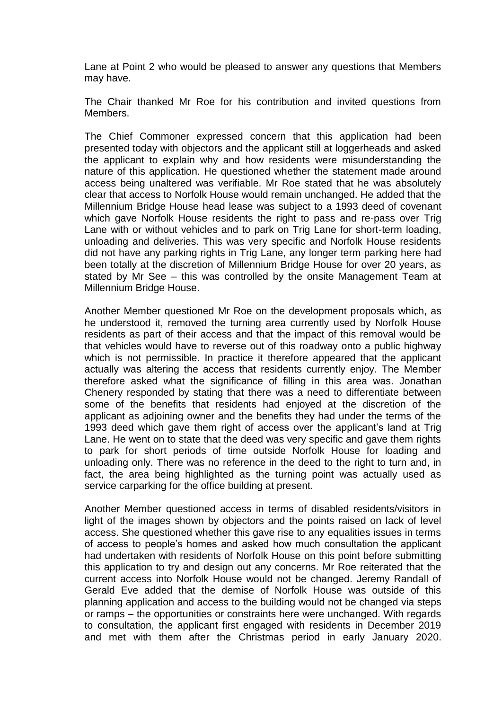Lane at Point 2 who would be pleased to answer any questions that Members may have.

The Chair thanked Mr Roe for his contribution and invited questions from Members.

The Chief Commoner expressed concern that this application had been presented today with objectors and the applicant still at loggerheads and asked the applicant to explain why and how residents were misunderstanding the nature of this application. He questioned whether the statement made around access being unaltered was verifiable. Mr Roe stated that he was absolutely clear that access to Norfolk House would remain unchanged. He added that the Millennium Bridge House head lease was subject to a 1993 deed of covenant which gave Norfolk House residents the right to pass and re-pass over Trig Lane with or without vehicles and to park on Trig Lane for short-term loading, unloading and deliveries. This was very specific and Norfolk House residents did not have any parking rights in Trig Lane, any longer term parking here had been totally at the discretion of Millennium Bridge House for over 20 years, as stated by Mr See – this was controlled by the onsite Management Team at Millennium Bridge House.

Another Member questioned Mr Roe on the development proposals which, as he understood it, removed the turning area currently used by Norfolk House residents as part of their access and that the impact of this removal would be that vehicles would have to reverse out of this roadway onto a public highway which is not permissible. In practice it therefore appeared that the applicant actually was altering the access that residents currently enjoy. The Member therefore asked what the significance of filling in this area was. Jonathan Chenery responded by stating that there was a need to differentiate between some of the benefits that residents had enjoyed at the discretion of the applicant as adjoining owner and the benefits they had under the terms of the 1993 deed which gave them right of access over the applicant's land at Trig Lane. He went on to state that the deed was very specific and gave them rights to park for short periods of time outside Norfolk House for loading and unloading only. There was no reference in the deed to the right to turn and, in fact, the area being highlighted as the turning point was actually used as service carparking for the office building at present.

Another Member questioned access in terms of disabled residents/visitors in light of the images shown by objectors and the points raised on lack of level access. She questioned whether this gave rise to any equalities issues in terms of access to people's homes and asked how much consultation the applicant had undertaken with residents of Norfolk House on this point before submitting this application to try and design out any concerns. Mr Roe reiterated that the current access into Norfolk House would not be changed. Jeremy Randall of Gerald Eve added that the demise of Norfolk House was outside of this planning application and access to the building would not be changed via steps or ramps – the opportunities or constraints here were unchanged. With regards to consultation, the applicant first engaged with residents in December 2019 and met with them after the Christmas period in early January 2020.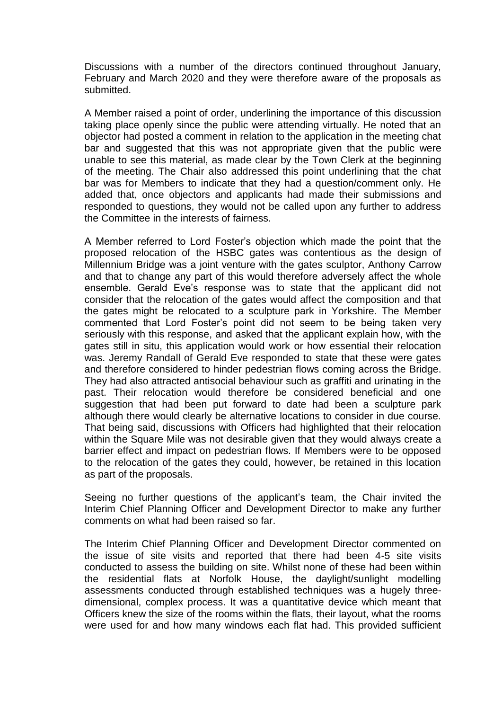Discussions with a number of the directors continued throughout January, February and March 2020 and they were therefore aware of the proposals as submitted.

A Member raised a point of order, underlining the importance of this discussion taking place openly since the public were attending virtually. He noted that an objector had posted a comment in relation to the application in the meeting chat bar and suggested that this was not appropriate given that the public were unable to see this material, as made clear by the Town Clerk at the beginning of the meeting. The Chair also addressed this point underlining that the chat bar was for Members to indicate that they had a question/comment only. He added that, once objectors and applicants had made their submissions and responded to questions, they would not be called upon any further to address the Committee in the interests of fairness.

A Member referred to Lord Foster's objection which made the point that the proposed relocation of the HSBC gates was contentious as the design of Millennium Bridge was a joint venture with the gates sculptor, Anthony Carrow and that to change any part of this would therefore adversely affect the whole ensemble. Gerald Eve's response was to state that the applicant did not consider that the relocation of the gates would affect the composition and that the gates might be relocated to a sculpture park in Yorkshire. The Member commented that Lord Foster's point did not seem to be being taken very seriously with this response, and asked that the applicant explain how, with the gates still in situ, this application would work or how essential their relocation was. Jeremy Randall of Gerald Eve responded to state that these were gates and therefore considered to hinder pedestrian flows coming across the Bridge. They had also attracted antisocial behaviour such as graffiti and urinating in the past. Their relocation would therefore be considered beneficial and one suggestion that had been put forward to date had been a sculpture park although there would clearly be alternative locations to consider in due course. That being said, discussions with Officers had highlighted that their relocation within the Square Mile was not desirable given that they would always create a barrier effect and impact on pedestrian flows. If Members were to be opposed to the relocation of the gates they could, however, be retained in this location as part of the proposals.

Seeing no further questions of the applicant's team, the Chair invited the Interim Chief Planning Officer and Development Director to make any further comments on what had been raised so far.

The Interim Chief Planning Officer and Development Director commented on the issue of site visits and reported that there had been 4-5 site visits conducted to assess the building on site. Whilst none of these had been within the residential flats at Norfolk House, the daylight/sunlight modelling assessments conducted through established techniques was a hugely threedimensional, complex process. It was a quantitative device which meant that Officers knew the size of the rooms within the flats, their layout, what the rooms were used for and how many windows each flat had. This provided sufficient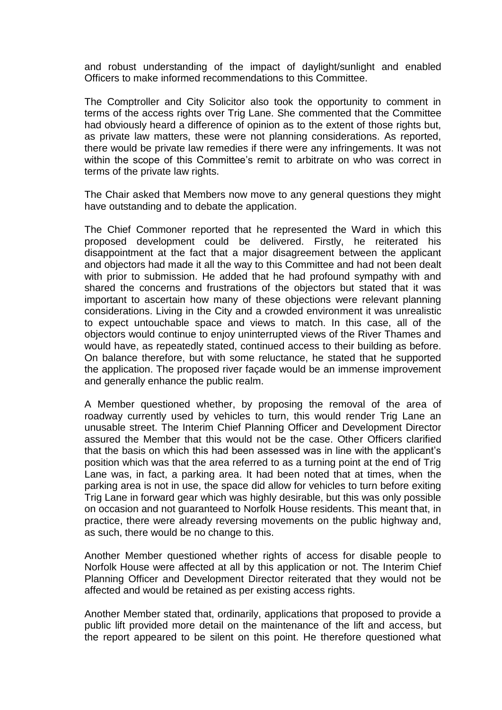and robust understanding of the impact of daylight/sunlight and enabled Officers to make informed recommendations to this Committee.

The Comptroller and City Solicitor also took the opportunity to comment in terms of the access rights over Trig Lane. She commented that the Committee had obviously heard a difference of opinion as to the extent of those rights but, as private law matters, these were not planning considerations. As reported, there would be private law remedies if there were any infringements. It was not within the scope of this Committee's remit to arbitrate on who was correct in terms of the private law rights.

The Chair asked that Members now move to any general questions they might have outstanding and to debate the application.

The Chief Commoner reported that he represented the Ward in which this proposed development could be delivered. Firstly, he reiterated his disappointment at the fact that a major disagreement between the applicant and objectors had made it all the way to this Committee and had not been dealt with prior to submission. He added that he had profound sympathy with and shared the concerns and frustrations of the objectors but stated that it was important to ascertain how many of these objections were relevant planning considerations. Living in the City and a crowded environment it was unrealistic to expect untouchable space and views to match. In this case, all of the objectors would continue to enjoy uninterrupted views of the River Thames and would have, as repeatedly stated, continued access to their building as before. On balance therefore, but with some reluctance, he stated that he supported the application. The proposed river façade would be an immense improvement and generally enhance the public realm.

A Member questioned whether, by proposing the removal of the area of roadway currently used by vehicles to turn, this would render Trig Lane an unusable street. The Interim Chief Planning Officer and Development Director assured the Member that this would not be the case. Other Officers clarified that the basis on which this had been assessed was in line with the applicant's position which was that the area referred to as a turning point at the end of Trig Lane was, in fact, a parking area. It had been noted that at times, when the parking area is not in use, the space did allow for vehicles to turn before exiting Trig Lane in forward gear which was highly desirable, but this was only possible on occasion and not guaranteed to Norfolk House residents. This meant that, in practice, there were already reversing movements on the public highway and, as such, there would be no change to this.

Another Member questioned whether rights of access for disable people to Norfolk House were affected at all by this application or not. The Interim Chief Planning Officer and Development Director reiterated that they would not be affected and would be retained as per existing access rights.

Another Member stated that, ordinarily, applications that proposed to provide a public lift provided more detail on the maintenance of the lift and access, but the report appeared to be silent on this point. He therefore questioned what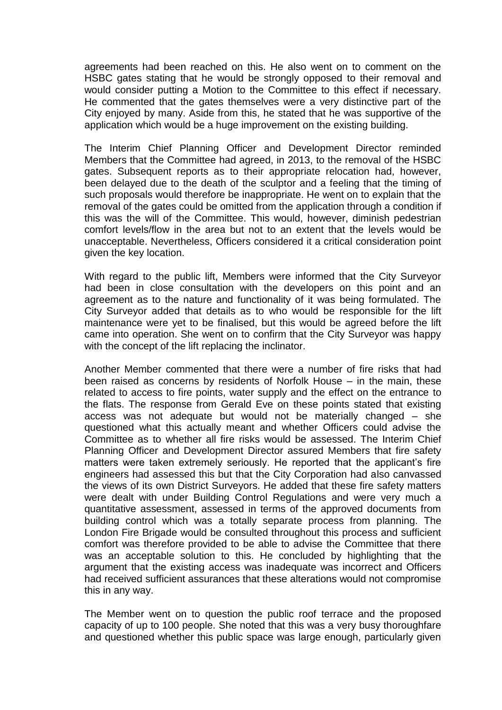agreements had been reached on this. He also went on to comment on the HSBC gates stating that he would be strongly opposed to their removal and would consider putting a Motion to the Committee to this effect if necessary. He commented that the gates themselves were a very distinctive part of the City enjoyed by many. Aside from this, he stated that he was supportive of the application which would be a huge improvement on the existing building.

The Interim Chief Planning Officer and Development Director reminded Members that the Committee had agreed, in 2013, to the removal of the HSBC gates. Subsequent reports as to their appropriate relocation had, however, been delayed due to the death of the sculptor and a feeling that the timing of such proposals would therefore be inappropriate. He went on to explain that the removal of the gates could be omitted from the application through a condition if this was the will of the Committee. This would, however, diminish pedestrian comfort levels/flow in the area but not to an extent that the levels would be unacceptable. Nevertheless, Officers considered it a critical consideration point given the key location.

With regard to the public lift. Members were informed that the City Surveyor had been in close consultation with the developers on this point and an agreement as to the nature and functionality of it was being formulated. The City Surveyor added that details as to who would be responsible for the lift maintenance were yet to be finalised, but this would be agreed before the lift came into operation. She went on to confirm that the City Surveyor was happy with the concept of the lift replacing the inclinator.

Another Member commented that there were a number of fire risks that had been raised as concerns by residents of Norfolk House – in the main, these related to access to fire points, water supply and the effect on the entrance to the flats. The response from Gerald Eve on these points stated that existing access was not adequate but would not be materially changed – she questioned what this actually meant and whether Officers could advise the Committee as to whether all fire risks would be assessed. The Interim Chief Planning Officer and Development Director assured Members that fire safety matters were taken extremely seriously. He reported that the applicant's fire engineers had assessed this but that the City Corporation had also canvassed the views of its own District Surveyors. He added that these fire safety matters were dealt with under Building Control Regulations and were very much a quantitative assessment, assessed in terms of the approved documents from building control which was a totally separate process from planning. The London Fire Brigade would be consulted throughout this process and sufficient comfort was therefore provided to be able to advise the Committee that there was an acceptable solution to this. He concluded by highlighting that the argument that the existing access was inadequate was incorrect and Officers had received sufficient assurances that these alterations would not compromise this in any way.

The Member went on to question the public roof terrace and the proposed capacity of up to 100 people. She noted that this was a very busy thoroughfare and questioned whether this public space was large enough, particularly given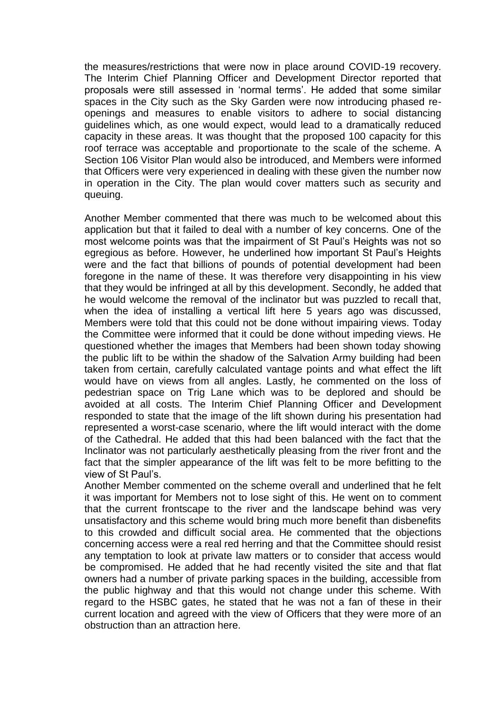the measures/restrictions that were now in place around COVID-19 recovery. The Interim Chief Planning Officer and Development Director reported that proposals were still assessed in 'normal terms'. He added that some similar spaces in the City such as the Sky Garden were now introducing phased reopenings and measures to enable visitors to adhere to social distancing guidelines which, as one would expect, would lead to a dramatically reduced capacity in these areas. It was thought that the proposed 100 capacity for this roof terrace was acceptable and proportionate to the scale of the scheme. A Section 106 Visitor Plan would also be introduced, and Members were informed that Officers were very experienced in dealing with these given the number now in operation in the City. The plan would cover matters such as security and queuing.

Another Member commented that there was much to be welcomed about this application but that it failed to deal with a number of key concerns. One of the most welcome points was that the impairment of St Paul's Heights was not so egregious as before. However, he underlined how important St Paul's Heights were and the fact that billions of pounds of potential development had been foregone in the name of these. It was therefore very disappointing in his view that they would be infringed at all by this development. Secondly, he added that he would welcome the removal of the inclinator but was puzzled to recall that, when the idea of installing a vertical lift here 5 years ago was discussed, Members were told that this could not be done without impairing views. Today the Committee were informed that it could be done without impeding views. He questioned whether the images that Members had been shown today showing the public lift to be within the shadow of the Salvation Army building had been taken from certain, carefully calculated vantage points and what effect the lift would have on views from all angles. Lastly, he commented on the loss of pedestrian space on Trig Lane which was to be deplored and should be avoided at all costs. The Interim Chief Planning Officer and Development responded to state that the image of the lift shown during his presentation had represented a worst-case scenario, where the lift would interact with the dome of the Cathedral. He added that this had been balanced with the fact that the Inclinator was not particularly aesthetically pleasing from the river front and the fact that the simpler appearance of the lift was felt to be more befitting to the view of St Paul's.

Another Member commented on the scheme overall and underlined that he felt it was important for Members not to lose sight of this. He went on to comment that the current frontscape to the river and the landscape behind was very unsatisfactory and this scheme would bring much more benefit than disbenefits to this crowded and difficult social area. He commented that the objections concerning access were a real red herring and that the Committee should resist any temptation to look at private law matters or to consider that access would be compromised. He added that he had recently visited the site and that flat owners had a number of private parking spaces in the building, accessible from the public highway and that this would not change under this scheme. With regard to the HSBC gates, he stated that he was not a fan of these in their current location and agreed with the view of Officers that they were more of an obstruction than an attraction here.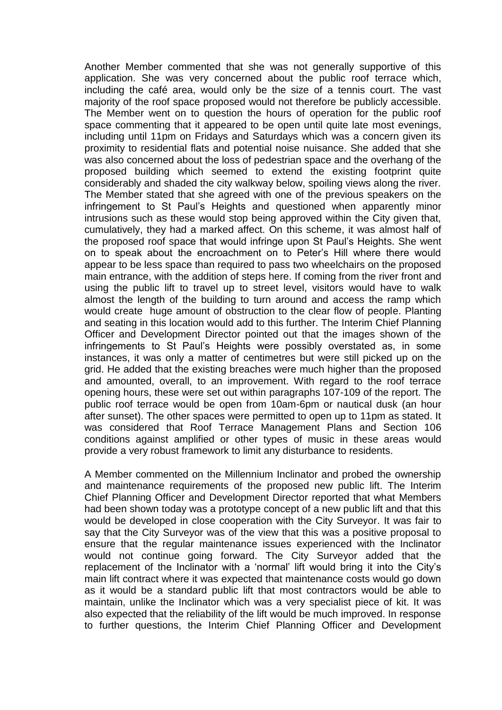Another Member commented that she was not generally supportive of this application. She was very concerned about the public roof terrace which, including the café area, would only be the size of a tennis court. The vast majority of the roof space proposed would not therefore be publicly accessible. The Member went on to question the hours of operation for the public roof space commenting that it appeared to be open until quite late most evenings, including until 11pm on Fridays and Saturdays which was a concern given its proximity to residential flats and potential noise nuisance. She added that she was also concerned about the loss of pedestrian space and the overhang of the proposed building which seemed to extend the existing footprint quite considerably and shaded the city walkway below, spoiling views along the river. The Member stated that she agreed with one of the previous speakers on the infringement to St Paul's Heights and questioned when apparently minor intrusions such as these would stop being approved within the City given that, cumulatively, they had a marked affect. On this scheme, it was almost half of the proposed roof space that would infringe upon St Paul's Heights. She went on to speak about the encroachment on to Peter's Hill where there would appear to be less space than required to pass two wheelchairs on the proposed main entrance, with the addition of steps here. If coming from the river front and using the public lift to travel up to street level, visitors would have to walk almost the length of the building to turn around and access the ramp which would create huge amount of obstruction to the clear flow of people. Planting and seating in this location would add to this further. The Interim Chief Planning Officer and Development Director pointed out that the images shown of the infringements to St Paul's Heights were possibly overstated as, in some instances, it was only a matter of centimetres but were still picked up on the grid. He added that the existing breaches were much higher than the proposed and amounted, overall, to an improvement. With regard to the roof terrace opening hours, these were set out within paragraphs 107-109 of the report. The public roof terrace would be open from 10am-6pm or nautical dusk (an hour after sunset). The other spaces were permitted to open up to 11pm as stated. It was considered that Roof Terrace Management Plans and Section 106 conditions against amplified or other types of music in these areas would provide a very robust framework to limit any disturbance to residents.

A Member commented on the Millennium Inclinator and probed the ownership and maintenance requirements of the proposed new public lift. The Interim Chief Planning Officer and Development Director reported that what Members had been shown today was a prototype concept of a new public lift and that this would be developed in close cooperation with the City Surveyor. It was fair to say that the City Surveyor was of the view that this was a positive proposal to ensure that the regular maintenance issues experienced with the Inclinator would not continue going forward. The City Surveyor added that the replacement of the Inclinator with a 'normal' lift would bring it into the City's main lift contract where it was expected that maintenance costs would go down as it would be a standard public lift that most contractors would be able to maintain, unlike the Inclinator which was a very specialist piece of kit. It was also expected that the reliability of the lift would be much improved. In response to further questions, the Interim Chief Planning Officer and Development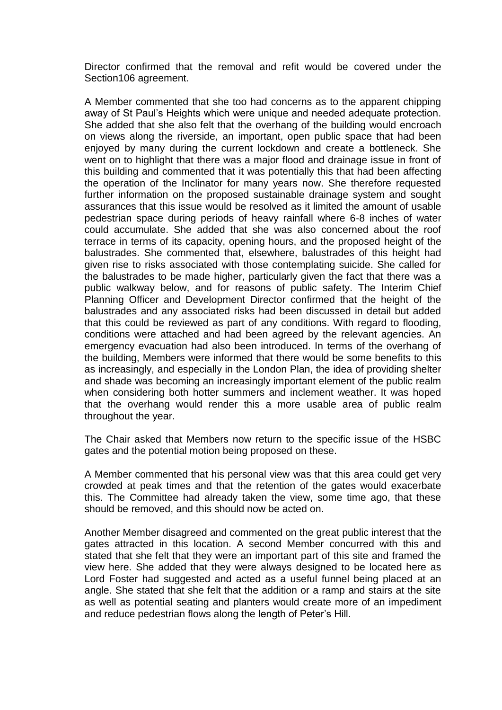Director confirmed that the removal and refit would be covered under the Section106 agreement.

A Member commented that she too had concerns as to the apparent chipping away of St Paul's Heights which were unique and needed adequate protection. She added that she also felt that the overhang of the building would encroach on views along the riverside, an important, open public space that had been enjoyed by many during the current lockdown and create a bottleneck. She went on to highlight that there was a major flood and drainage issue in front of this building and commented that it was potentially this that had been affecting the operation of the Inclinator for many years now. She therefore requested further information on the proposed sustainable drainage system and sought assurances that this issue would be resolved as it limited the amount of usable pedestrian space during periods of heavy rainfall where 6-8 inches of water could accumulate. She added that she was also concerned about the roof terrace in terms of its capacity, opening hours, and the proposed height of the balustrades. She commented that, elsewhere, balustrades of this height had given rise to risks associated with those contemplating suicide. She called for the balustrades to be made higher, particularly given the fact that there was a public walkway below, and for reasons of public safety. The Interim Chief Planning Officer and Development Director confirmed that the height of the balustrades and any associated risks had been discussed in detail but added that this could be reviewed as part of any conditions. With regard to flooding, conditions were attached and had been agreed by the relevant agencies. An emergency evacuation had also been introduced. In terms of the overhang of the building, Members were informed that there would be some benefits to this as increasingly, and especially in the London Plan, the idea of providing shelter and shade was becoming an increasingly important element of the public realm when considering both hotter summers and inclement weather. It was hoped that the overhang would render this a more usable area of public realm throughout the year.

The Chair asked that Members now return to the specific issue of the HSBC gates and the potential motion being proposed on these.

A Member commented that his personal view was that this area could get very crowded at peak times and that the retention of the gates would exacerbate this. The Committee had already taken the view, some time ago, that these should be removed, and this should now be acted on.

Another Member disagreed and commented on the great public interest that the gates attracted in this location. A second Member concurred with this and stated that she felt that they were an important part of this site and framed the view here. She added that they were always designed to be located here as Lord Foster had suggested and acted as a useful funnel being placed at an angle. She stated that she felt that the addition or a ramp and stairs at the site as well as potential seating and planters would create more of an impediment and reduce pedestrian flows along the length of Peter's Hill.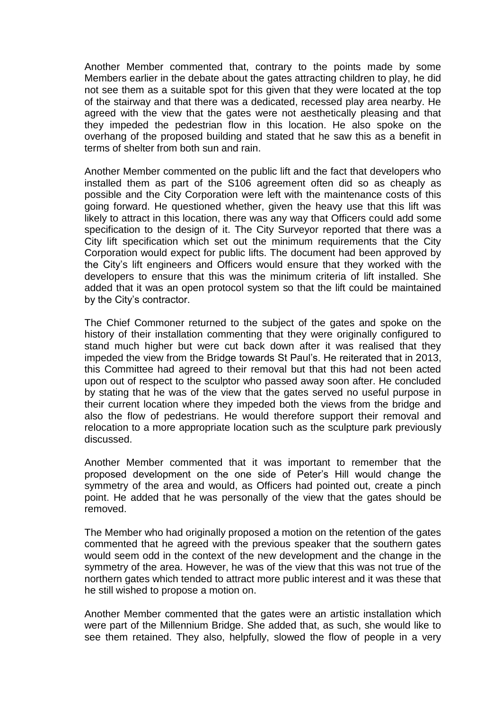Another Member commented that, contrary to the points made by some Members earlier in the debate about the gates attracting children to play, he did not see them as a suitable spot for this given that they were located at the top of the stairway and that there was a dedicated, recessed play area nearby. He agreed with the view that the gates were not aesthetically pleasing and that they impeded the pedestrian flow in this location. He also spoke on the overhang of the proposed building and stated that he saw this as a benefit in terms of shelter from both sun and rain.

Another Member commented on the public lift and the fact that developers who installed them as part of the S106 agreement often did so as cheaply as possible and the City Corporation were left with the maintenance costs of this going forward. He questioned whether, given the heavy use that this lift was likely to attract in this location, there was any way that Officers could add some specification to the design of it. The City Surveyor reported that there was a City lift specification which set out the minimum requirements that the City Corporation would expect for public lifts. The document had been approved by the City's lift engineers and Officers would ensure that they worked with the developers to ensure that this was the minimum criteria of lift installed. She added that it was an open protocol system so that the lift could be maintained by the City's contractor.

The Chief Commoner returned to the subject of the gates and spoke on the history of their installation commenting that they were originally configured to stand much higher but were cut back down after it was realised that they impeded the view from the Bridge towards St Paul's. He reiterated that in 2013, this Committee had agreed to their removal but that this had not been acted upon out of respect to the sculptor who passed away soon after. He concluded by stating that he was of the view that the gates served no useful purpose in their current location where they impeded both the views from the bridge and also the flow of pedestrians. He would therefore support their removal and relocation to a more appropriate location such as the sculpture park previously discussed.

Another Member commented that it was important to remember that the proposed development on the one side of Peter's Hill would change the symmetry of the area and would, as Officers had pointed out, create a pinch point. He added that he was personally of the view that the gates should be removed.

The Member who had originally proposed a motion on the retention of the gates commented that he agreed with the previous speaker that the southern gates would seem odd in the context of the new development and the change in the symmetry of the area. However, he was of the view that this was not true of the northern gates which tended to attract more public interest and it was these that he still wished to propose a motion on.

Another Member commented that the gates were an artistic installation which were part of the Millennium Bridge. She added that, as such, she would like to see them retained. They also, helpfully, slowed the flow of people in a very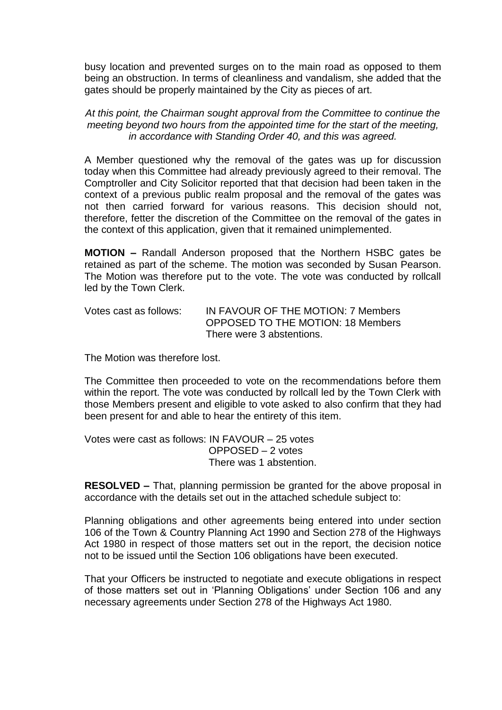busy location and prevented surges on to the main road as opposed to them being an obstruction. In terms of cleanliness and vandalism, she added that the gates should be properly maintained by the City as pieces of art.

*At this point, the Chairman sought approval from the Committee to continue the meeting beyond two hours from the appointed time for the start of the meeting, in accordance with Standing Order 40, and this was agreed.*

A Member questioned why the removal of the gates was up for discussion today when this Committee had already previously agreed to their removal. The Comptroller and City Solicitor reported that that decision had been taken in the context of a previous public realm proposal and the removal of the gates was not then carried forward for various reasons. This decision should not, therefore, fetter the discretion of the Committee on the removal of the gates in the context of this application, given that it remained unimplemented.

**MOTION –** Randall Anderson proposed that the Northern HSBC gates be retained as part of the scheme. The motion was seconded by Susan Pearson. The Motion was therefore put to the vote. The vote was conducted by rollcall led by the Town Clerk.

| Votes cast as follows: | IN FAVOUR OF THE MOTION: 7 Members       |
|------------------------|------------------------------------------|
|                        | <b>OPPOSED TO THE MOTION: 18 Members</b> |
|                        | There were 3 abstentions.                |

The Motion was therefore lost.

The Committee then proceeded to vote on the recommendations before them within the report. The vote was conducted by rollcall led by the Town Clerk with those Members present and eligible to vote asked to also confirm that they had been present for and able to hear the entirety of this item.

Votes were cast as follows: IN FAVOUR – 25 votes OPPOSED – 2 votes There was 1 abstention.

**RESOLVED –** That, planning permission be granted for the above proposal in accordance with the details set out in the attached schedule subject to:

Planning obligations and other agreements being entered into under section 106 of the Town & Country Planning Act 1990 and Section 278 of the Highways Act 1980 in respect of those matters set out in the report, the decision notice not to be issued until the Section 106 obligations have been executed.

That your Officers be instructed to negotiate and execute obligations in respect of those matters set out in 'Planning Obligations' under Section 106 and any necessary agreements under Section 278 of the Highways Act 1980.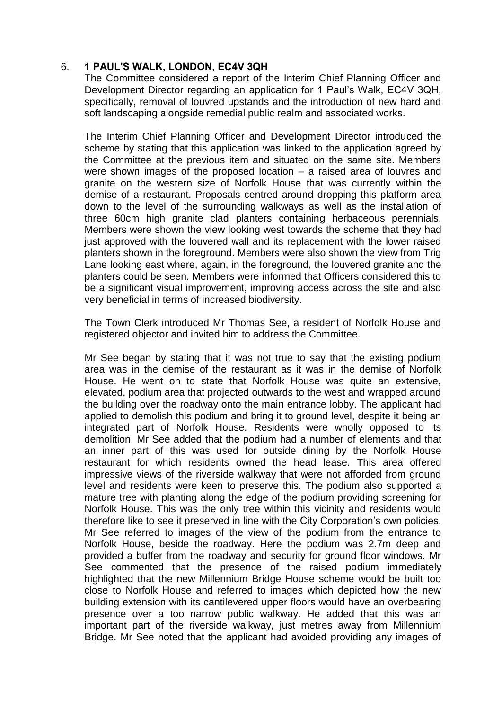# 6. **1 PAUL'S WALK, LONDON, EC4V 3QH**

The Committee considered a report of the Interim Chief Planning Officer and Development Director regarding an application for 1 Paul's Walk, EC4V 3QH, specifically, removal of louvred upstands and the introduction of new hard and soft landscaping alongside remedial public realm and associated works.

The Interim Chief Planning Officer and Development Director introduced the scheme by stating that this application was linked to the application agreed by the Committee at the previous item and situated on the same site. Members were shown images of the proposed location – a raised area of louvres and granite on the western size of Norfolk House that was currently within the demise of a restaurant. Proposals centred around dropping this platform area down to the level of the surrounding walkways as well as the installation of three 60cm high granite clad planters containing herbaceous perennials. Members were shown the view looking west towards the scheme that they had just approved with the louvered wall and its replacement with the lower raised planters shown in the foreground. Members were also shown the view from Trig Lane looking east where, again, in the foreground, the louvered granite and the planters could be seen. Members were informed that Officers considered this to be a significant visual improvement, improving access across the site and also very beneficial in terms of increased biodiversity.

The Town Clerk introduced Mr Thomas See, a resident of Norfolk House and registered objector and invited him to address the Committee.

Mr See began by stating that it was not true to say that the existing podium area was in the demise of the restaurant as it was in the demise of Norfolk House. He went on to state that Norfolk House was quite an extensive, elevated, podium area that projected outwards to the west and wrapped around the building over the roadway onto the main entrance lobby. The applicant had applied to demolish this podium and bring it to ground level, despite it being an integrated part of Norfolk House. Residents were wholly opposed to its demolition. Mr See added that the podium had a number of elements and that an inner part of this was used for outside dining by the Norfolk House restaurant for which residents owned the head lease. This area offered impressive views of the riverside walkway that were not afforded from ground level and residents were keen to preserve this. The podium also supported a mature tree with planting along the edge of the podium providing screening for Norfolk House. This was the only tree within this vicinity and residents would therefore like to see it preserved in line with the City Corporation's own policies. Mr See referred to images of the view of the podium from the entrance to Norfolk House, beside the roadway. Here the podium was 2.7m deep and provided a buffer from the roadway and security for ground floor windows. Mr See commented that the presence of the raised podium immediately highlighted that the new Millennium Bridge House scheme would be built too close to Norfolk House and referred to images which depicted how the new building extension with its cantilevered upper floors would have an overbearing presence over a too narrow public walkway. He added that this was an important part of the riverside walkway, just metres away from Millennium Bridge. Mr See noted that the applicant had avoided providing any images of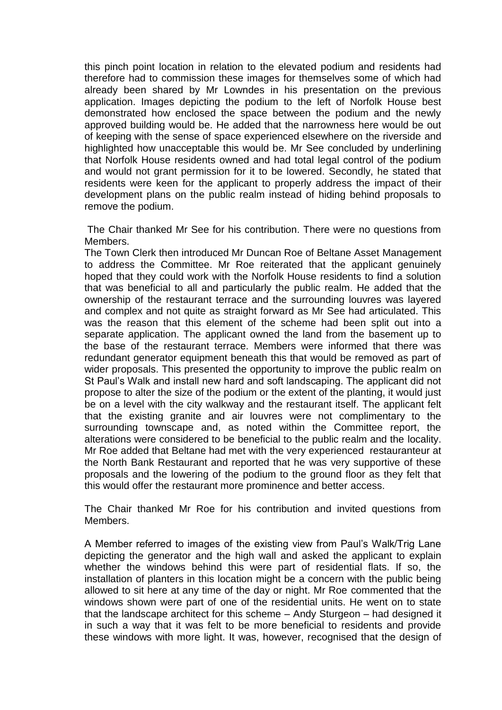this pinch point location in relation to the elevated podium and residents had therefore had to commission these images for themselves some of which had already been shared by Mr Lowndes in his presentation on the previous application. Images depicting the podium to the left of Norfolk House best demonstrated how enclosed the space between the podium and the newly approved building would be. He added that the narrowness here would be out of keeping with the sense of space experienced elsewhere on the riverside and highlighted how unacceptable this would be. Mr See concluded by underlining that Norfolk House residents owned and had total legal control of the podium and would not grant permission for it to be lowered. Secondly, he stated that residents were keen for the applicant to properly address the impact of their development plans on the public realm instead of hiding behind proposals to remove the podium.

The Chair thanked Mr See for his contribution. There were no questions from Members.

The Town Clerk then introduced Mr Duncan Roe of Beltane Asset Management to address the Committee. Mr Roe reiterated that the applicant genuinely hoped that they could work with the Norfolk House residents to find a solution that was beneficial to all and particularly the public realm. He added that the ownership of the restaurant terrace and the surrounding louvres was layered and complex and not quite as straight forward as Mr See had articulated. This was the reason that this element of the scheme had been split out into a separate application. The applicant owned the land from the basement up to the base of the restaurant terrace. Members were informed that there was redundant generator equipment beneath this that would be removed as part of wider proposals. This presented the opportunity to improve the public realm on St Paul's Walk and install new hard and soft landscaping. The applicant did not propose to alter the size of the podium or the extent of the planting, it would just be on a level with the city walkway and the restaurant itself. The applicant felt that the existing granite and air louvres were not complimentary to the surrounding townscape and, as noted within the Committee report, the alterations were considered to be beneficial to the public realm and the locality. Mr Roe added that Beltane had met with the very experienced restauranteur at the North Bank Restaurant and reported that he was very supportive of these proposals and the lowering of the podium to the ground floor as they felt that this would offer the restaurant more prominence and better access.

The Chair thanked Mr Roe for his contribution and invited questions from Members.

A Member referred to images of the existing view from Paul's Walk/Trig Lane depicting the generator and the high wall and asked the applicant to explain whether the windows behind this were part of residential flats. If so, the installation of planters in this location might be a concern with the public being allowed to sit here at any time of the day or night. Mr Roe commented that the windows shown were part of one of the residential units. He went on to state that the landscape architect for this scheme – Andy Sturgeon – had designed it in such a way that it was felt to be more beneficial to residents and provide these windows with more light. It was, however, recognised that the design of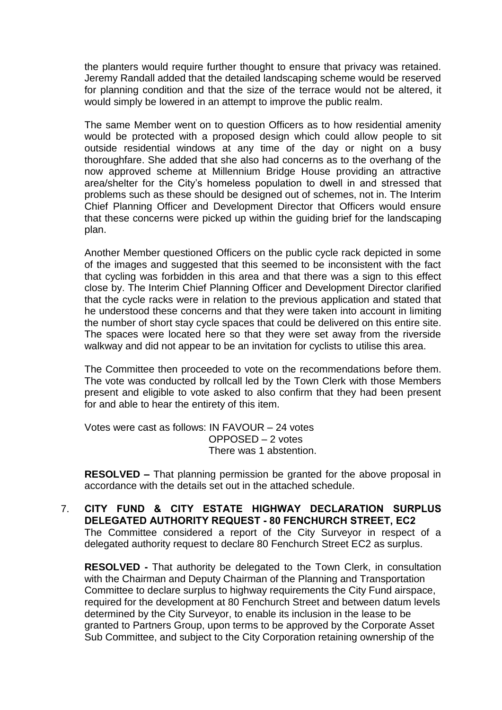the planters would require further thought to ensure that privacy was retained. Jeremy Randall added that the detailed landscaping scheme would be reserved for planning condition and that the size of the terrace would not be altered, it would simply be lowered in an attempt to improve the public realm.

The same Member went on to question Officers as to how residential amenity would be protected with a proposed design which could allow people to sit outside residential windows at any time of the day or night on a busy thoroughfare. She added that she also had concerns as to the overhang of the now approved scheme at Millennium Bridge House providing an attractive area/shelter for the City's homeless population to dwell in and stressed that problems such as these should be designed out of schemes, not in. The Interim Chief Planning Officer and Development Director that Officers would ensure that these concerns were picked up within the guiding brief for the landscaping plan.

Another Member questioned Officers on the public cycle rack depicted in some of the images and suggested that this seemed to be inconsistent with the fact that cycling was forbidden in this area and that there was a sign to this effect close by. The Interim Chief Planning Officer and Development Director clarified that the cycle racks were in relation to the previous application and stated that he understood these concerns and that they were taken into account in limiting the number of short stay cycle spaces that could be delivered on this entire site. The spaces were located here so that they were set away from the riverside walkway and did not appear to be an invitation for cyclists to utilise this area.

The Committee then proceeded to vote on the recommendations before them. The vote was conducted by rollcall led by the Town Clerk with those Members present and eligible to vote asked to also confirm that they had been present for and able to hear the entirety of this item.

Votes were cast as follows: IN FAVOUR – 24 votes OPPOSED – 2 votes There was 1 abstention.

**RESOLVED –** That planning permission be granted for the above proposal in accordance with the details set out in the attached schedule.

7. **CITY FUND & CITY ESTATE HIGHWAY DECLARATION SURPLUS DELEGATED AUTHORITY REQUEST - 80 FENCHURCH STREET, EC2** The Committee considered a report of the City Surveyor in respect of a delegated authority request to declare 80 Fenchurch Street EC2 as surplus.

**RESOLVED -** That authority be delegated to the Town Clerk, in consultation with the Chairman and Deputy Chairman of the Planning and Transportation Committee to declare surplus to highway requirements the City Fund airspace, required for the development at 80 Fenchurch Street and between datum levels determined by the City Surveyor, to enable its inclusion in the lease to be granted to Partners Group, upon terms to be approved by the Corporate Asset Sub Committee, and subject to the City Corporation retaining ownership of the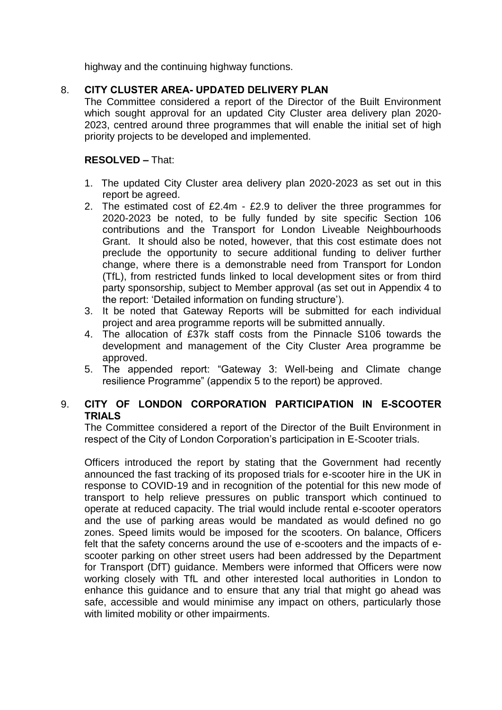highway and the continuing highway functions.

# 8. **CITY CLUSTER AREA- UPDATED DELIVERY PLAN**

The Committee considered a report of the Director of the Built Environment which sought approval for an updated City Cluster area delivery plan 2020- 2023, centred around three programmes that will enable the initial set of high priority projects to be developed and implemented.

# **RESOLVED –** That:

- 1. The updated City Cluster area delivery plan 2020-2023 as set out in this report be agreed.
- 2. The estimated cost of £2.4m £2.9 to deliver the three programmes for 2020-2023 be noted, to be fully funded by site specific Section 106 contributions and the Transport for London Liveable Neighbourhoods Grant. It should also be noted, however, that this cost estimate does not preclude the opportunity to secure additional funding to deliver further change, where there is a demonstrable need from Transport for London (TfL), from restricted funds linked to local development sites or from third party sponsorship, subject to Member approval (as set out in Appendix 4 to the report: 'Detailed information on funding structure').
- 3. It be noted that Gateway Reports will be submitted for each individual project and area programme reports will be submitted annually.
- 4. The allocation of £37k staff costs from the Pinnacle S106 towards the development and management of the City Cluster Area programme be approved.
- 5. The appended report: "Gateway 3: Well-being and Climate change resilience Programme" (appendix 5 to the report) be approved.

# 9. **CITY OF LONDON CORPORATION PARTICIPATION IN E-SCOOTER TRIALS**

The Committee considered a report of the Director of the Built Environment in respect of the City of London Corporation's participation in E-Scooter trials.

Officers introduced the report by stating that the Government had recently announced the fast tracking of its proposed trials for e-scooter hire in the UK in response to COVID-19 and in recognition of the potential for this new mode of transport to help relieve pressures on public transport which continued to operate at reduced capacity. The trial would include rental e-scooter operators and the use of parking areas would be mandated as would defined no go zones. Speed limits would be imposed for the scooters. On balance, Officers felt that the safety concerns around the use of e-scooters and the impacts of escooter parking on other street users had been addressed by the Department for Transport (DfT) guidance. Members were informed that Officers were now working closely with TfL and other interested local authorities in London to enhance this guidance and to ensure that any trial that might go ahead was safe, accessible and would minimise any impact on others, particularly those with limited mobility or other impairments.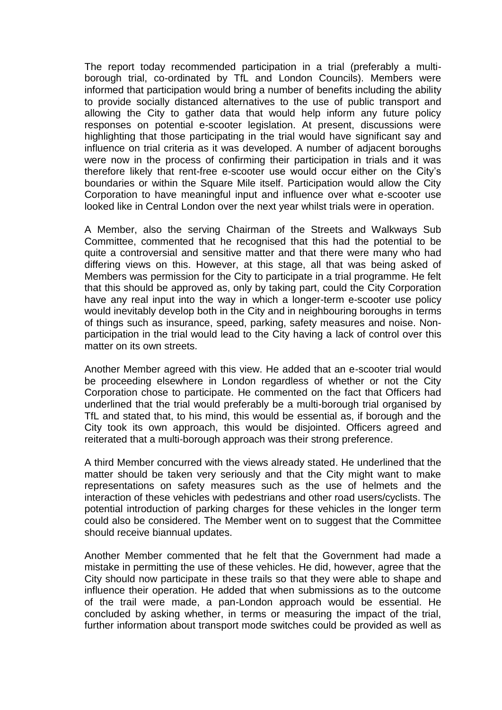The report today recommended participation in a trial (preferably a multiborough trial, co-ordinated by TfL and London Councils). Members were informed that participation would bring a number of benefits including the ability to provide socially distanced alternatives to the use of public transport and allowing the City to gather data that would help inform any future policy responses on potential e-scooter legislation. At present, discussions were highlighting that those participating in the trial would have significant say and influence on trial criteria as it was developed. A number of adjacent boroughs were now in the process of confirming their participation in trials and it was therefore likely that rent-free e-scooter use would occur either on the City's boundaries or within the Square Mile itself. Participation would allow the City Corporation to have meaningful input and influence over what e-scooter use looked like in Central London over the next year whilst trials were in operation.

A Member, also the serving Chairman of the Streets and Walkways Sub Committee, commented that he recognised that this had the potential to be quite a controversial and sensitive matter and that there were many who had differing views on this. However, at this stage, all that was being asked of Members was permission for the City to participate in a trial programme. He felt that this should be approved as, only by taking part, could the City Corporation have any real input into the way in which a longer-term e-scooter use policy would inevitably develop both in the City and in neighbouring boroughs in terms of things such as insurance, speed, parking, safety measures and noise. Nonparticipation in the trial would lead to the City having a lack of control over this matter on its own streets.

Another Member agreed with this view. He added that an e-scooter trial would be proceeding elsewhere in London regardless of whether or not the City Corporation chose to participate. He commented on the fact that Officers had underlined that the trial would preferably be a multi-borough trial organised by TfL and stated that, to his mind, this would be essential as, if borough and the City took its own approach, this would be disjointed. Officers agreed and reiterated that a multi-borough approach was their strong preference.

A third Member concurred with the views already stated. He underlined that the matter should be taken very seriously and that the City might want to make representations on safety measures such as the use of helmets and the interaction of these vehicles with pedestrians and other road users/cyclists. The potential introduction of parking charges for these vehicles in the longer term could also be considered. The Member went on to suggest that the Committee should receive biannual updates.

Another Member commented that he felt that the Government had made a mistake in permitting the use of these vehicles. He did, however, agree that the City should now participate in these trails so that they were able to shape and influence their operation. He added that when submissions as to the outcome of the trail were made, a pan-London approach would be essential. He concluded by asking whether, in terms or measuring the impact of the trial, further information about transport mode switches could be provided as well as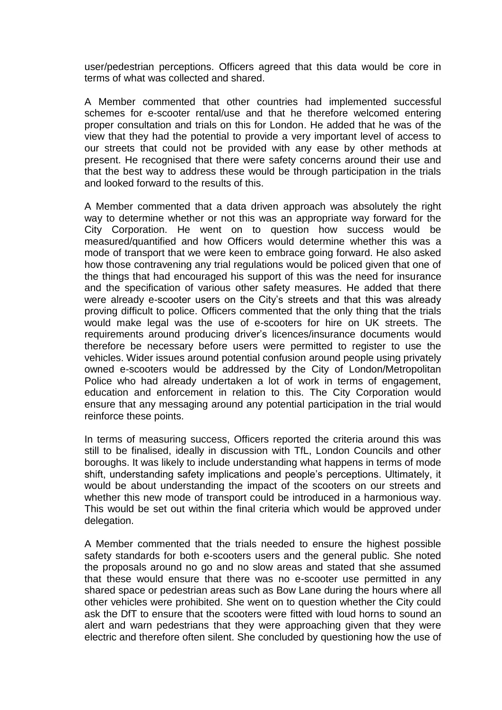user/pedestrian perceptions. Officers agreed that this data would be core in terms of what was collected and shared.

A Member commented that other countries had implemented successful schemes for e-scooter rental/use and that he therefore welcomed entering proper consultation and trials on this for London. He added that he was of the view that they had the potential to provide a very important level of access to our streets that could not be provided with any ease by other methods at present. He recognised that there were safety concerns around their use and that the best way to address these would be through participation in the trials and looked forward to the results of this.

A Member commented that a data driven approach was absolutely the right way to determine whether or not this was an appropriate way forward for the City Corporation. He went on to question how success would be measured/quantified and how Officers would determine whether this was a mode of transport that we were keen to embrace going forward. He also asked how those contravening any trial regulations would be policed given that one of the things that had encouraged his support of this was the need for insurance and the specification of various other safety measures. He added that there were already e-scooter users on the City's streets and that this was already proving difficult to police. Officers commented that the only thing that the trials would make legal was the use of e-scooters for hire on UK streets. The requirements around producing driver's licences/insurance documents would therefore be necessary before users were permitted to register to use the vehicles. Wider issues around potential confusion around people using privately owned e-scooters would be addressed by the City of London/Metropolitan Police who had already undertaken a lot of work in terms of engagement, education and enforcement in relation to this. The City Corporation would ensure that any messaging around any potential participation in the trial would reinforce these points.

In terms of measuring success, Officers reported the criteria around this was still to be finalised, ideally in discussion with TfL, London Councils and other boroughs. It was likely to include understanding what happens in terms of mode shift, understanding safety implications and people's perceptions. Ultimately, it would be about understanding the impact of the scooters on our streets and whether this new mode of transport could be introduced in a harmonious way. This would be set out within the final criteria which would be approved under delegation.

A Member commented that the trials needed to ensure the highest possible safety standards for both e-scooters users and the general public. She noted the proposals around no go and no slow areas and stated that she assumed that these would ensure that there was no e-scooter use permitted in any shared space or pedestrian areas such as Bow Lane during the hours where all other vehicles were prohibited. She went on to question whether the City could ask the DfT to ensure that the scooters were fitted with loud horns to sound an alert and warn pedestrians that they were approaching given that they were electric and therefore often silent. She concluded by questioning how the use of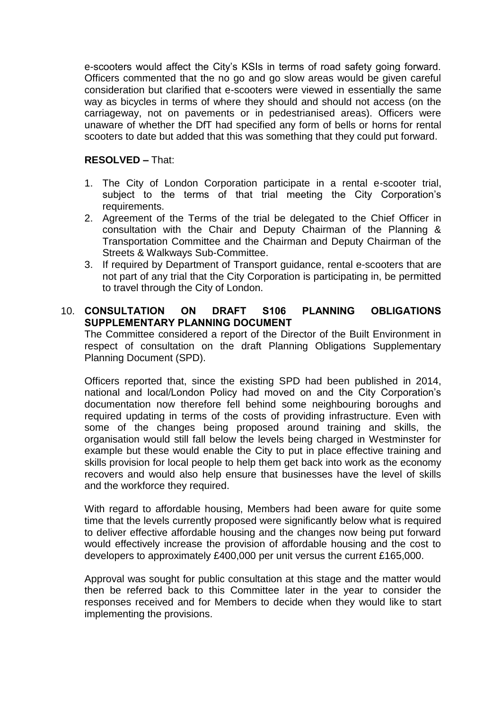e-scooters would affect the City's KSIs in terms of road safety going forward. Officers commented that the no go and go slow areas would be given careful consideration but clarified that e-scooters were viewed in essentially the same way as bicycles in terms of where they should and should not access (on the carriageway, not on pavements or in pedestrianised areas). Officers were unaware of whether the DfT had specified any form of bells or horns for rental scooters to date but added that this was something that they could put forward.

# **RESOLVED –** That:

- 1. The City of London Corporation participate in a rental e-scooter trial, subject to the terms of that trial meeting the City Corporation's requirements.
- 2. Agreement of the Terms of the trial be delegated to the Chief Officer in consultation with the Chair and Deputy Chairman of the Planning & Transportation Committee and the Chairman and Deputy Chairman of the Streets & Walkways Sub-Committee.
- 3. If required by Department of Transport guidance, rental e-scooters that are not part of any trial that the City Corporation is participating in, be permitted to travel through the City of London.

# 10. **CONSULTATION ON DRAFT S106 PLANNING OBLIGATIONS SUPPLEMENTARY PLANNING DOCUMENT**

The Committee considered a report of the Director of the Built Environment in respect of consultation on the draft Planning Obligations Supplementary Planning Document (SPD).

Officers reported that, since the existing SPD had been published in 2014, national and local/London Policy had moved on and the City Corporation's documentation now therefore fell behind some neighbouring boroughs and required updating in terms of the costs of providing infrastructure. Even with some of the changes being proposed around training and skills, the organisation would still fall below the levels being charged in Westminster for example but these would enable the City to put in place effective training and skills provision for local people to help them get back into work as the economy recovers and would also help ensure that businesses have the level of skills and the workforce they required.

With regard to affordable housing, Members had been aware for quite some time that the levels currently proposed were significantly below what is required to deliver effective affordable housing and the changes now being put forward would effectively increase the provision of affordable housing and the cost to developers to approximately £400,000 per unit versus the current £165,000.

Approval was sought for public consultation at this stage and the matter would then be referred back to this Committee later in the year to consider the responses received and for Members to decide when they would like to start implementing the provisions.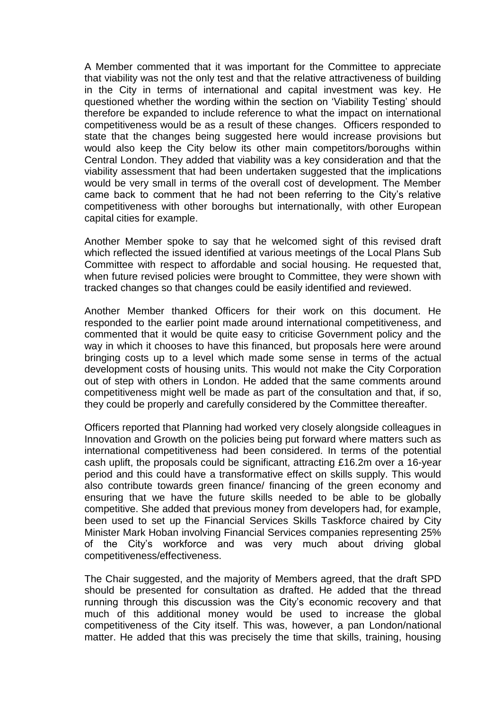A Member commented that it was important for the Committee to appreciate that viability was not the only test and that the relative attractiveness of building in the City in terms of international and capital investment was key. He questioned whether the wording within the section on 'Viability Testing' should therefore be expanded to include reference to what the impact on international competitiveness would be as a result of these changes. Officers responded to state that the changes being suggested here would increase provisions but would also keep the City below its other main competitors/boroughs within Central London. They added that viability was a key consideration and that the viability assessment that had been undertaken suggested that the implications would be very small in terms of the overall cost of development. The Member came back to comment that he had not been referring to the City's relative competitiveness with other boroughs but internationally, with other European capital cities for example.

Another Member spoke to say that he welcomed sight of this revised draft which reflected the issued identified at various meetings of the Local Plans Sub Committee with respect to affordable and social housing. He requested that, when future revised policies were brought to Committee, they were shown with tracked changes so that changes could be easily identified and reviewed.

Another Member thanked Officers for their work on this document. He responded to the earlier point made around international competitiveness, and commented that it would be quite easy to criticise Government policy and the way in which it chooses to have this financed, but proposals here were around bringing costs up to a level which made some sense in terms of the actual development costs of housing units. This would not make the City Corporation out of step with others in London. He added that the same comments around competitiveness might well be made as part of the consultation and that, if so, they could be properly and carefully considered by the Committee thereafter.

Officers reported that Planning had worked very closely alongside colleagues in Innovation and Growth on the policies being put forward where matters such as international competitiveness had been considered. In terms of the potential cash uplift, the proposals could be significant, attracting £16.2m over a 16-year period and this could have a transformative effect on skills supply. This would also contribute towards green finance/ financing of the green economy and ensuring that we have the future skills needed to be able to be globally competitive. She added that previous money from developers had, for example, been used to set up the Financial Services Skills Taskforce chaired by City Minister Mark Hoban involving Financial Services companies representing 25% of the City's workforce and was very much about driving global competitiveness/effectiveness.

The Chair suggested, and the majority of Members agreed, that the draft SPD should be presented for consultation as drafted. He added that the thread running through this discussion was the City's economic recovery and that much of this additional money would be used to increase the global competitiveness of the City itself. This was, however, a pan London/national matter. He added that this was precisely the time that skills, training, housing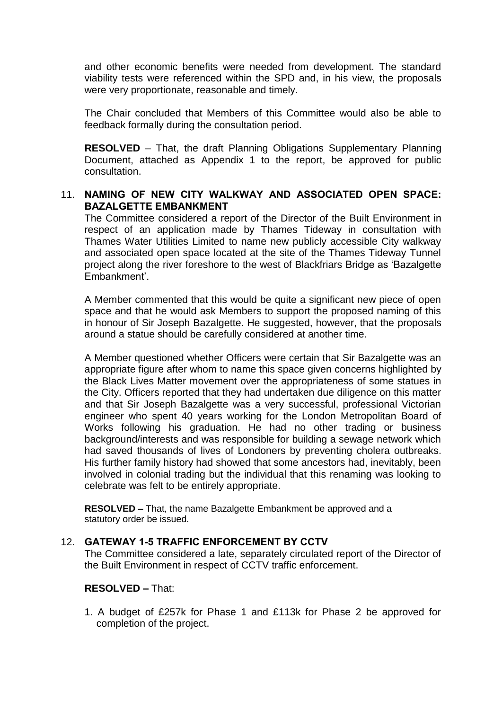and other economic benefits were needed from development. The standard viability tests were referenced within the SPD and, in his view, the proposals were very proportionate, reasonable and timely.

The Chair concluded that Members of this Committee would also be able to feedback formally during the consultation period.

**RESOLVED** – That, the draft Planning Obligations Supplementary Planning Document, attached as Appendix 1 to the report, be approved for public consultation.

#### 11. **NAMING OF NEW CITY WALKWAY AND ASSOCIATED OPEN SPACE: BAZALGETTE EMBANKMENT**

The Committee considered a report of the Director of the Built Environment in respect of an application made by Thames Tideway in consultation with Thames Water Utilities Limited to name new publicly accessible City walkway and associated open space located at the site of the Thames Tideway Tunnel project along the river foreshore to the west of Blackfriars Bridge as 'Bazalgette Embankment'.

A Member commented that this would be quite a significant new piece of open space and that he would ask Members to support the proposed naming of this in honour of Sir Joseph Bazalgette. He suggested, however, that the proposals around a statue should be carefully considered at another time.

A Member questioned whether Officers were certain that Sir Bazalgette was an appropriate figure after whom to name this space given concerns highlighted by the Black Lives Matter movement over the appropriateness of some statues in the City. Officers reported that they had undertaken due diligence on this matter and that Sir Joseph Bazalgette was a very successful, professional Victorian engineer who spent 40 years working for the London Metropolitan Board of Works following his graduation. He had no other trading or business background/interests and was responsible for building a sewage network which had saved thousands of lives of Londoners by preventing cholera outbreaks. His further family history had showed that some ancestors had, inevitably, been involved in colonial trading but the individual that this renaming was looking to celebrate was felt to be entirely appropriate.

**RESOLVED –** That, the name Bazalgette Embankment be approved and a statutory order be issued.

#### 12. **GATEWAY 1-5 TRAFFIC ENFORCEMENT BY CCTV**

The Committee considered a late, separately circulated report of the Director of the Built Environment in respect of CCTV traffic enforcement.

# **RESOLVED –** That:

1. A budget of £257k for Phase 1 and £113k for Phase 2 be approved for completion of the project.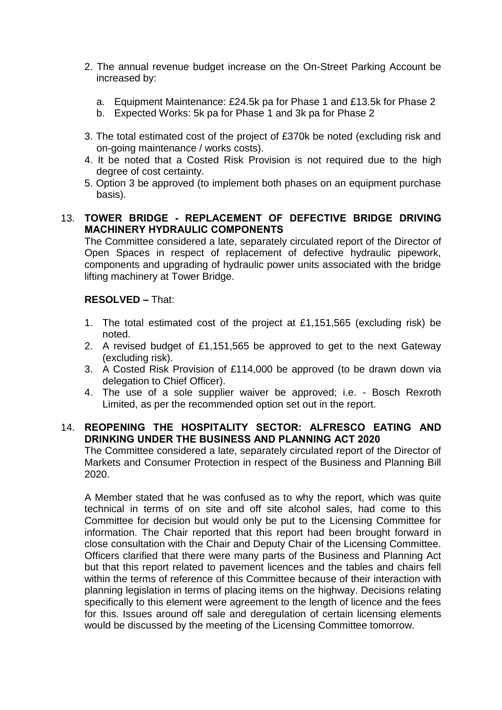- 2. The annual revenue budget increase on the On-Street Parking Account be increased by:
	- a. Equipment Maintenance: £24.5k pa for Phase 1 and £13.5k for Phase 2
	- b. Expected Works: 5k pa for Phase 1 and 3k pa for Phase 2
- 3. The total estimated cost of the project of £370k be noted (excluding risk and on-going maintenance / works costs).
- 4. It be noted that a Costed Risk Provision is not required due to the high degree of cost certainty.
- 5. Option 3 be approved (to implement both phases on an equipment purchase basis).

# 13. **TOWER BRIDGE - REPLACEMENT OF DEFECTIVE BRIDGE DRIVING MACHINERY HYDRAULIC COMPONENTS**

The Committee considered a late, separately circulated report of the Director of Open Spaces in respect of replacement of defective hydraulic pipework, components and upgrading of hydraulic power units associated with the bridge lifting machinery at Tower Bridge.

# **RESOLVED –** That:

- 1. The total estimated cost of the project at £1,151,565 (excluding risk) be noted.
- 2. A revised budget of £1,151,565 be approved to get to the next Gateway (excluding risk).
- 3. A Costed Risk Provision of £114,000 be approved (to be drawn down via delegation to Chief Officer).
- 4. The use of a sole supplier waiver be approved; i.e. Bosch Rexroth Limited, as per the recommended option set out in the report.

## 14. **REOPENING THE HOSPITALITY SECTOR: ALFRESCO EATING AND DRINKING UNDER THE BUSINESS AND PLANNING ACT 2020**

The Committee considered a late, separately circulated report of the Director of Markets and Consumer Protection in respect of the Business and Planning Bill 2020.

A Member stated that he was confused as to why the report, which was quite technical in terms of on site and off site alcohol sales, had come to this Committee for decision but would only be put to the Licensing Committee for information. The Chair reported that this report had been brought forward in close consultation with the Chair and Deputy Chair of the Licensing Committee. Officers clarified that there were many parts of the Business and Planning Act but that this report related to pavement licences and the tables and chairs fell within the terms of reference of this Committee because of their interaction with planning legislation in terms of placing items on the highway. Decisions relating specifically to this element were agreement to the length of licence and the fees for this. Issues around off sale and deregulation of certain licensing elements would be discussed by the meeting of the Licensing Committee tomorrow.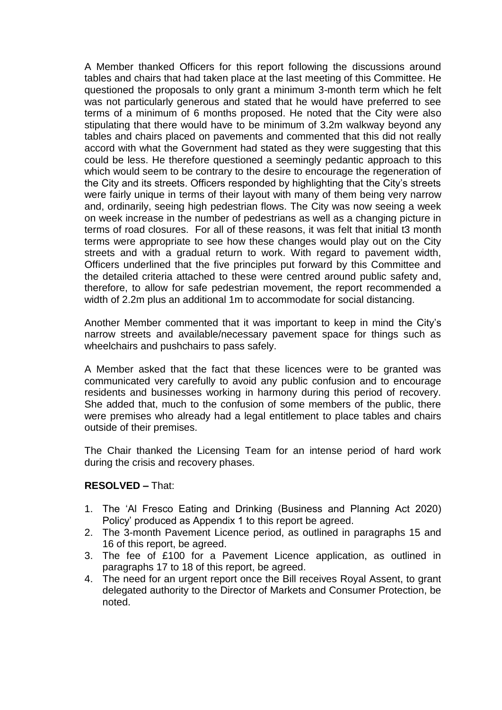A Member thanked Officers for this report following the discussions around tables and chairs that had taken place at the last meeting of this Committee. He questioned the proposals to only grant a minimum 3-month term which he felt was not particularly generous and stated that he would have preferred to see terms of a minimum of 6 months proposed. He noted that the City were also stipulating that there would have to be minimum of 3.2m walkway beyond any tables and chairs placed on pavements and commented that this did not really accord with what the Government had stated as they were suggesting that this could be less. He therefore questioned a seemingly pedantic approach to this which would seem to be contrary to the desire to encourage the regeneration of the City and its streets. Officers responded by highlighting that the City's streets were fairly unique in terms of their layout with many of them being very narrow and, ordinarily, seeing high pedestrian flows. The City was now seeing a week on week increase in the number of pedestrians as well as a changing picture in terms of road closures. For all of these reasons, it was felt that initial t3 month terms were appropriate to see how these changes would play out on the City streets and with a gradual return to work. With regard to pavement width, Officers underlined that the five principles put forward by this Committee and the detailed criteria attached to these were centred around public safety and, therefore, to allow for safe pedestrian movement, the report recommended a width of 2.2m plus an additional 1m to accommodate for social distancing.

Another Member commented that it was important to keep in mind the City's narrow streets and available/necessary pavement space for things such as wheelchairs and pushchairs to pass safely.

A Member asked that the fact that these licences were to be granted was communicated very carefully to avoid any public confusion and to encourage residents and businesses working in harmony during this period of recovery. She added that, much to the confusion of some members of the public, there were premises who already had a legal entitlement to place tables and chairs outside of their premises.

The Chair thanked the Licensing Team for an intense period of hard work during the crisis and recovery phases.

## **RESOLVED –** That:

- 1. The 'Al Fresco Eating and Drinking (Business and Planning Act 2020) Policy' produced as Appendix 1 to this report be agreed.
- 2. The 3-month Pavement Licence period, as outlined in paragraphs 15 and 16 of this report, be agreed.
- 3. The fee of £100 for a Pavement Licence application, as outlined in paragraphs 17 to 18 of this report, be agreed.
- 4. The need for an urgent report once the Bill receives Royal Assent, to grant delegated authority to the Director of Markets and Consumer Protection, be noted.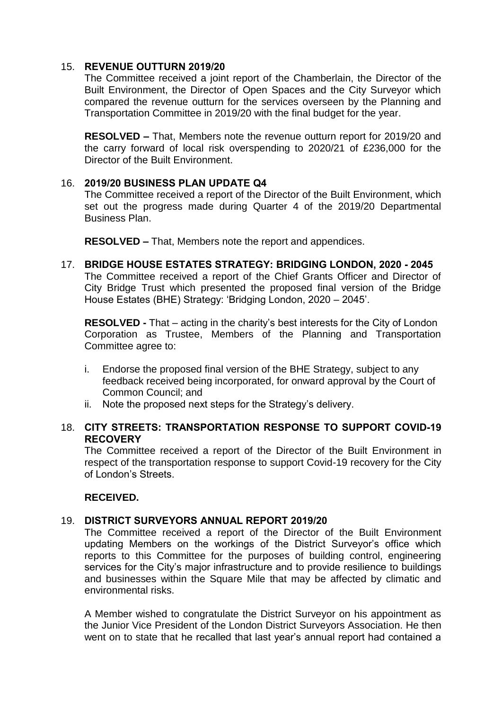#### 15. **REVENUE OUTTURN 2019/20**

The Committee received a joint report of the Chamberlain, the Director of the Built Environment, the Director of Open Spaces and the City Surveyor which compared the revenue outturn for the services overseen by the Planning and Transportation Committee in 2019/20 with the final budget for the year.

**RESOLVED –** That, Members note the revenue outturn report for 2019/20 and the carry forward of local risk overspending to 2020/21 of £236,000 for the Director of the Built Environment.

## 16. **2019/20 BUSINESS PLAN UPDATE Q4**

The Committee received a report of the Director of the Built Environment, which set out the progress made during Quarter 4 of the 2019/20 Departmental Business Plan.

**RESOLVED –** That, Members note the report and appendices.

## 17. **BRIDGE HOUSE ESTATES STRATEGY: BRIDGING LONDON, 2020 - 2045**

The Committee received a report of the Chief Grants Officer and Director of City Bridge Trust which presented the proposed final version of the Bridge House Estates (BHE) Strategy: 'Bridging London, 2020 – 2045'.

**RESOLVED -** That – acting in the charity's best interests for the City of London Corporation as Trustee, Members of the Planning and Transportation Committee agree to:

- i. Endorse the proposed final version of the BHE Strategy, subject to any feedback received being incorporated, for onward approval by the Court of Common Council; and
- ii. Note the proposed next steps for the Strategy's delivery.

# 18. **CITY STREETS: TRANSPORTATION RESPONSE TO SUPPORT COVID-19 RECOVERY**

The Committee received a report of the Director of the Built Environment in respect of the transportation response to support Covid-19 recovery for the City of London's Streets.

## **RECEIVED.**

# 19. **DISTRICT SURVEYORS ANNUAL REPORT 2019/20**

The Committee received a report of the Director of the Built Environment updating Members on the workings of the District Surveyor's office which reports to this Committee for the purposes of building control, engineering services for the City's major infrastructure and to provide resilience to buildings and businesses within the Square Mile that may be affected by climatic and environmental risks.

A Member wished to congratulate the District Surveyor on his appointment as the Junior Vice President of the London District Surveyors Association. He then went on to state that he recalled that last year's annual report had contained a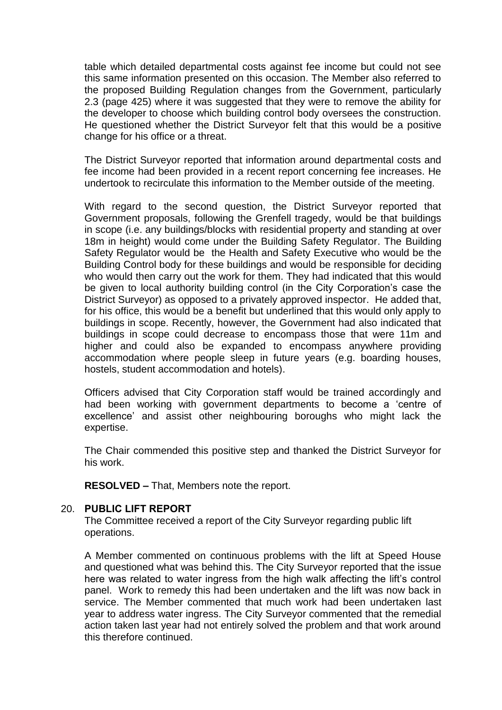table which detailed departmental costs against fee income but could not see this same information presented on this occasion. The Member also referred to the proposed Building Regulation changes from the Government, particularly 2.3 (page 425) where it was suggested that they were to remove the ability for the developer to choose which building control body oversees the construction. He questioned whether the District Surveyor felt that this would be a positive change for his office or a threat.

The District Surveyor reported that information around departmental costs and fee income had been provided in a recent report concerning fee increases. He undertook to recirculate this information to the Member outside of the meeting.

With regard to the second question, the District Surveyor reported that Government proposals, following the Grenfell tragedy, would be that buildings in scope (i.e. any buildings/blocks with residential property and standing at over 18m in height) would come under the Building Safety Regulator. The Building Safety Regulator would be the Health and Safety Executive who would be the Building Control body for these buildings and would be responsible for deciding who would then carry out the work for them. They had indicated that this would be given to local authority building control (in the City Corporation's case the District Surveyor) as opposed to a privately approved inspector. He added that, for his office, this would be a benefit but underlined that this would only apply to buildings in scope. Recently, however, the Government had also indicated that buildings in scope could decrease to encompass those that were 11m and higher and could also be expanded to encompass anywhere providing accommodation where people sleep in future years (e.g. boarding houses, hostels, student accommodation and hotels).

Officers advised that City Corporation staff would be trained accordingly and had been working with government departments to become a 'centre of excellence' and assist other neighbouring boroughs who might lack the expertise.

The Chair commended this positive step and thanked the District Surveyor for his work.

**RESOLVED –** That, Members note the report.

## 20. **PUBLIC LIFT REPORT**

The Committee received a report of the City Surveyor regarding public lift operations.

A Member commented on continuous problems with the lift at Speed House and questioned what was behind this. The City Surveyor reported that the issue here was related to water ingress from the high walk affecting the lift's control panel. Work to remedy this had been undertaken and the lift was now back in service. The Member commented that much work had been undertaken last year to address water ingress. The City Surveyor commented that the remedial action taken last year had not entirely solved the problem and that work around this therefore continued.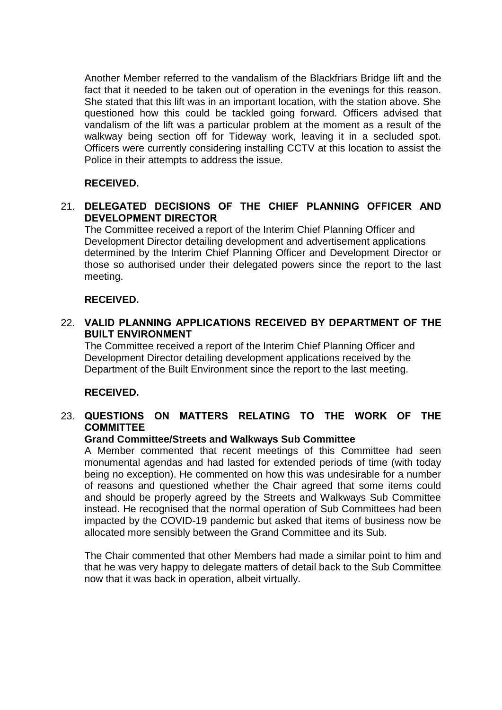Another Member referred to the vandalism of the Blackfriars Bridge lift and the fact that it needed to be taken out of operation in the evenings for this reason. She stated that this lift was in an important location, with the station above. She questioned how this could be tackled going forward. Officers advised that vandalism of the lift was a particular problem at the moment as a result of the walkway being section off for Tideway work, leaving it in a secluded spot. Officers were currently considering installing CCTV at this location to assist the Police in their attempts to address the issue.

# **RECEIVED.**

# 21. **DELEGATED DECISIONS OF THE CHIEF PLANNING OFFICER AND DEVELOPMENT DIRECTOR**

The Committee received a report of the Interim Chief Planning Officer and Development Director detailing development and advertisement applications determined by the Interim Chief Planning Officer and Development Director or those so authorised under their delegated powers since the report to the last meeting.

## **RECEIVED.**

# 22. **VALID PLANNING APPLICATIONS RECEIVED BY DEPARTMENT OF THE BUILT ENVIRONMENT**

The Committee received a report of the Interim Chief Planning Officer and Development Director detailing development applications received by the Department of the Built Environment since the report to the last meeting.

## **RECEIVED.**

# 23. **QUESTIONS ON MATTERS RELATING TO THE WORK OF THE COMMITTEE**

## **Grand Committee/Streets and Walkways Sub Committee**

A Member commented that recent meetings of this Committee had seen monumental agendas and had lasted for extended periods of time (with today being no exception). He commented on how this was undesirable for a number of reasons and questioned whether the Chair agreed that some items could and should be properly agreed by the Streets and Walkways Sub Committee instead. He recognised that the normal operation of Sub Committees had been impacted by the COVID-19 pandemic but asked that items of business now be allocated more sensibly between the Grand Committee and its Sub.

The Chair commented that other Members had made a similar point to him and that he was very happy to delegate matters of detail back to the Sub Committee now that it was back in operation, albeit virtually.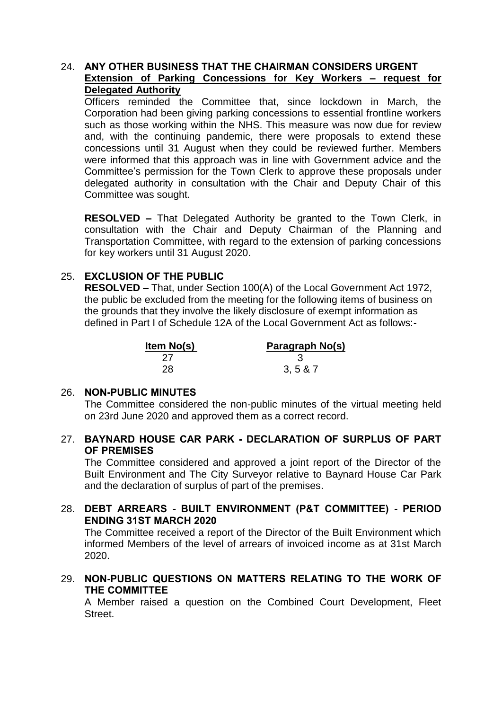# 24. **ANY OTHER BUSINESS THAT THE CHAIRMAN CONSIDERS URGENT Extension of Parking Concessions for Key Workers – request for Delegated Authority**

Officers reminded the Committee that, since lockdown in March, the Corporation had been giving parking concessions to essential frontline workers such as those working within the NHS. This measure was now due for review and, with the continuing pandemic, there were proposals to extend these concessions until 31 August when they could be reviewed further. Members were informed that this approach was in line with Government advice and the Committee's permission for the Town Clerk to approve these proposals under delegated authority in consultation with the Chair and Deputy Chair of this Committee was sought.

**RESOLVED –** That Delegated Authority be granted to the Town Clerk, in consultation with the Chair and Deputy Chairman of the Planning and Transportation Committee, with regard to the extension of parking concessions for key workers until 31 August 2020.

# 25. **EXCLUSION OF THE PUBLIC**

**RESOLVED –** That, under Section 100(A) of the Local Government Act 1972, the public be excluded from the meeting for the following items of business on the grounds that they involve the likely disclosure of exempt information as defined in Part I of Schedule 12A of the Local Government Act as follows:-

| ltem No(s) | Paragraph No(s) |  |
|------------|-----------------|--|
| 27         |                 |  |
| 28         | 3, 5 & 87       |  |

## 26. **NON-PUBLIC MINUTES**

The Committee considered the non-public minutes of the virtual meeting held on 23rd June 2020 and approved them as a correct record.

# 27. **BAYNARD HOUSE CAR PARK - DECLARATION OF SURPLUS OF PART OF PREMISES**

The Committee considered and approved a joint report of the Director of the Built Environment and The City Surveyor relative to Baynard House Car Park and the declaration of surplus of part of the premises.

# 28. **DEBT ARREARS - BUILT ENVIRONMENT (P&T COMMITTEE) - PERIOD ENDING 31ST MARCH 2020**

The Committee received a report of the Director of the Built Environment which informed Members of the level of arrears of invoiced income as at 31st March 2020.

# 29. **NON-PUBLIC QUESTIONS ON MATTERS RELATING TO THE WORK OF THE COMMITTEE**

A Member raised a question on the Combined Court Development, Fleet **Street**